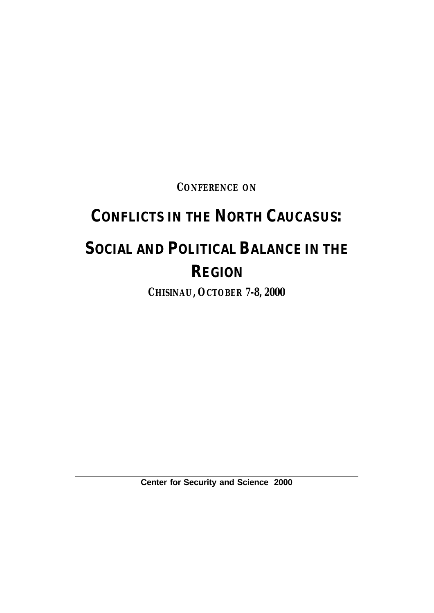**CONFERENCE ON**

# **CONFLICTS IN THE NORTH CAUCASUS:**

# **SOCIAL AND POLITICAL BALANCE IN THE REGION**

**CHISINAU, OCTOBER 7-8, 2000**

**Center for Security and Science 2000**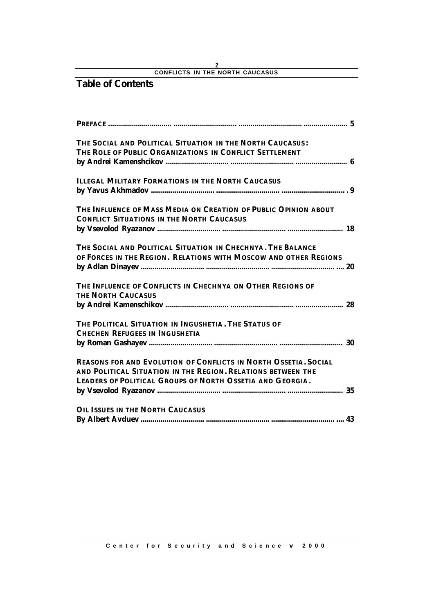## **Table of Contents**

| <b>THE SOCIAL AND POLITICAL SITUATION IN THE NORTH CAUCASUS:</b>       |  |
|------------------------------------------------------------------------|--|
| THE ROLE OF PUBLIC ORGANIZATIONS IN CONFLICT SETTLEMENT                |  |
|                                                                        |  |
| <b>ILLEGAL MILITARY FORMATIONS IN THE NORTH CAUCASUS</b>               |  |
|                                                                        |  |
| THE INFLUENCE OF MASS MEDIA ON CREATION OF PUBLIC OPINION ABOUT        |  |
| <b>CONFLICT SITUATIONS IN THE NORTH CAUCASUS</b>                       |  |
|                                                                        |  |
| THE SOCIAL AND POLITICAL SITUATION IN CHECHNYA. THE BALANCE            |  |
| OF FORCES IN THE REGION. RELATIONS WITH MOSCOW AND OTHER REGIONS       |  |
|                                                                        |  |
| THE INFLUENCE OF CONFLICTS IN CHECHNYA ON OTHER REGIONS OF             |  |
| <b>THE NORTH CAUCASUS</b>                                              |  |
|                                                                        |  |
| THE POLITICAL SITUATION IN INGUSHETIA. THE STATUS OF                   |  |
| <b>CHECHEN REFUGEES IN INGUSHETIA</b>                                  |  |
|                                                                        |  |
| <b>REASONS FOR AND EVOLUTION OF CONFLICTS IN NORTH OSSETIA. SOCIAL</b> |  |
| AND POLITICAL SITUATION IN THE REGION. RELATIONS BETWEEN THE           |  |
| <b>LEADERS OF POLITICAL GROUPS OF NORTH OSSETIA AND GEORGIA.</b>       |  |
|                                                                        |  |
| <b>OIL ISSUES IN THE NORTH CAUCASUS</b>                                |  |
|                                                                        |  |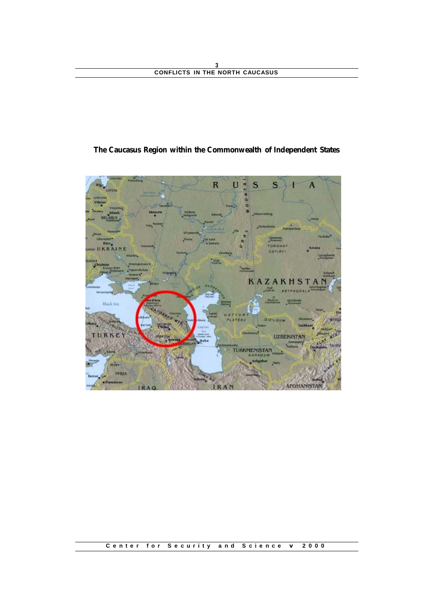## **The Caucasus Region within the Commonwealth of Independent States**



### **Center for Security and Science v 2000**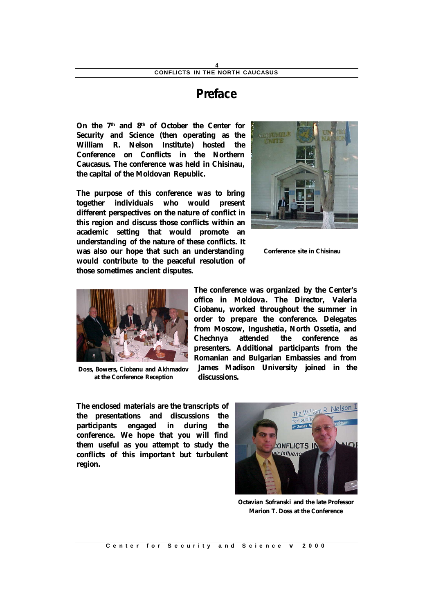## **Preface**

**On the 7th and 8th of October the Center for Security and Science (then operating as the William R. Nelson Institute) hosted the Conference on Conflicts in the Northern Caucasus. The conference was held in Chisinau, the capital of the Moldovan Republic.** 

**The purpose of this conference was to bring together individuals who would present different perspectives on the nature of conflict in this region and discuss those conflicts within an academic setting that would promote an understanding of the nature of these conflicts. It was also our hope that such an understanding would contribute to the peaceful resolution of those sometimes ancient disputes.** 



**Conference site in Chisinau**



**Doss, Bowers, Ciobanu and Akhmadov at the Conference Reception**

**The conference was organized by the Center's office in Moldova. The Director, Valeria Ciobanu, worked throughout the summer in order to prepare the conference. Delegates from Moscow, Ingushetia, North Ossetia, and Chechnya attended the conference as presenters. Additional participants from the Romanian and Bulgarian Embassies and from James Madison University joined in the discussions.** 

**The enclosed materials are the transcripts of the presentations and discussions the participants engaged in during the conference. We hope that you will find them useful as you attempt to study the conflicts of this important but turbulent region.** 



**Octavian Sofranski and the late Professor Marion T. Doss at the Conference**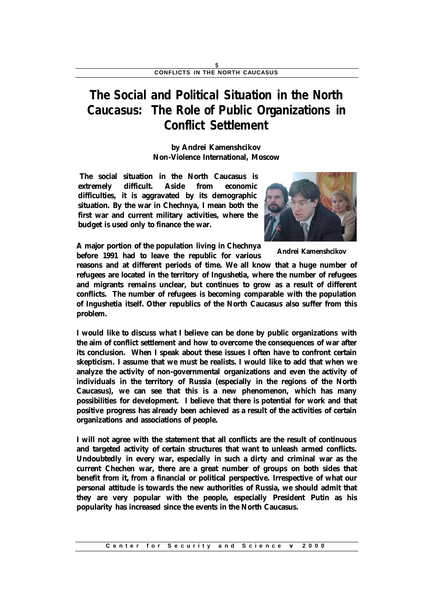## **The Social and Political Situation in the North Caucasus: The Role of Public Organizations in Conflict Settlement**

**by Andrei Kamenshcikov Non-Violence International, Moscow**

**The social situation in the North Caucasus is extremely difficult. Aside from economic difficulties, it is aggravated by its demographic situation. By the war in Chechnya, I mean both the first war and current military activities, where the budget is used only to finance the war.** 



**A major portion of the population living in Chechnya before 1991 had to leave the republic for various** 

**Andrei Kamenshcikov**

**reasons and at different periods of time. We all know that a huge number of refugees are located in the territory of Ingushetia, where the number of refugees and migrants remains unclear, but continues to grow as a result of different conflicts. The number of refugees is becoming comparable with the population of Ingushetia itself. Other republics of the North Caucasus also suffer from this problem.**

**I would like to discuss what I believe can be done by public organizations with the aim of conflict settlement and how to overcome the consequences of war after its conclusion. When I speak about these issues I often have to confront certain skepticism. I assume that we must be realists. I would like to add that when we analyze the activity of non-governmental organizations and even the activity of individuals in the territory of Russia (especially in the regions of the North Caucasus), we can see that this is a new phenomenon, which has many possibilities for development. I believe that there is potential for work and that positive progress has already been achieved as a result of the activities of certain organizations and associations of people.**

**I will not agree with the statement that all conflicts are the result of continuous and targeted activity of certain structures that want to unleash armed conflicts. Undoubtedly in every war, especially in such a dirty and criminal war as the current Chechen war, there are a great number of groups on both sides that benefit from it, from a financial or political perspective. Irrespective of what our personal attitude is towards the new authorities of Russia, we should admit that they are very popular with the people, especially President Putin as his popularity has increased since the events in the North Caucasus.**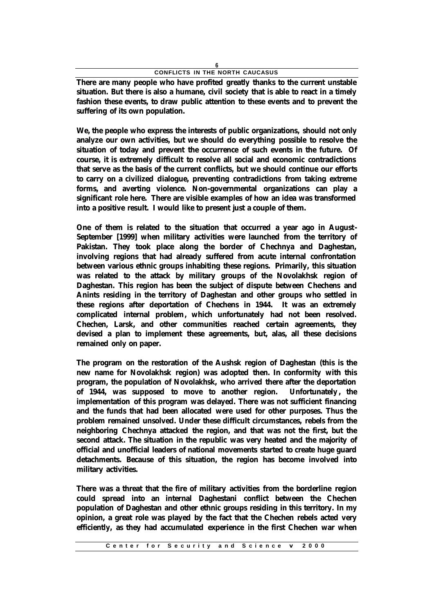**There are many people who have profited greatly thanks to the current unstable situation. But there is also a humane, civil society that is able to react in a timely fashion these events, to draw public attention to these events and to prevent the suffering of its own population.**

**We, the people who express the interests of public organizations, should not only analyze our own activities, but we should do everything possible to resolve the situation of today and prevent the occurrence of such events in the future. Of course, it is extremely difficult to resolve all social and economic contradictions that serve as the basis of the current conflicts, but we should continue our efforts to carry on a civilized dialogue, preventing contradictions from taking extreme forms, and averting violence. Non-governmental organizations can play a significant role here. There are visible examples of how an idea was transformed into a positive result. I would like to present just a couple of them.** 

**One of them is related to the situation that occurred a year ago in August-September [1999] when military activities were launched from the territory of Pakistan. They took place along the border of Chechnya and Daghestan, involving regions that had already suffered from acute internal confrontation between various ethnic groups inhabiting these regions. Primarily, this situation was related to the attack by military groups of the Novolakhsk region of Daghestan. This region has been the subject of dispute between Chechens and Anints residing in the territory of Daghestan and other groups who settled in these regions after deportation of Chechens in 1944. It was an extremely complicated internal problem, which unfortunately had not been resolved. Chechen, Larsk, and other communities reached certain agreements, they devised a plan to implement these agreements, but, alas, all these decisions remained only on paper.**

**The program on the restoration of the Aushsk region of Daghestan (this is the new name for Novolakhsk region) was adopted then. In conformity with this program, the population of Novolakhsk, who arrived there after the deportation of 1944, was supposed to move to another region. Unfortunately , the implementation of this program was delayed. There was not sufficient financing and the funds that had been allocated were used for other purposes. Thus the problem remained unsolved. Under these difficult circumstances, rebels from the neighboring Chechnya attacked the region, and that was not the first, but the second attack. The situation in the republic was very heated and the majority of official and unofficial leaders of national movements started to create huge guard detachments. Because of this situation, the region has become involved into military activities.**

**There was a threat that the fire of military activities from the borderline region could spread into an internal Daghestani conflict between the Chechen population of Daghestan and other ethnic groups residing in this territory. In my opinion, a great role was played by the fact that the Chechen rebels acted very efficiently, as they had accumulated experience in the first Chechen war when**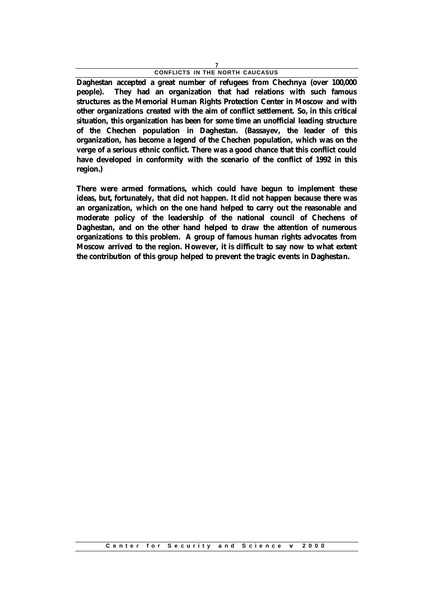**Daghestan accepted a great number of refugees from Chechnya (over 100,000 people). They had an organization that had relations with such famous structures as the Memorial Human Rights Protection Center in Moscow and with other organizations created with the aim of conflict settlement. So, in this critical situation, this organization has been for some time an unofficial leading structure of the Chechen population in Daghestan. (Bassayev, the leader of this organization, has become a legend of the Chechen population, which was on the verge of a serious ethnic conflict. There was a good chance that this conflict could have developed in conformity with the scenario of the conflict of 1992 in this region.)**

**There were armed formations, which could have begun to implement these ideas, but, fortunately, that did not happen. It did not happen because there was an organization, which on the one hand helped to carry out the reasonable and moderate policy of the leadership of the national council of Chechens of Daghestan, and on the other hand helped to draw the attention of numerous organizations to this problem. A group of famous human rights advocates from Moscow arrived to the region. However, it is difficult to say now to what extent the contribution of this group helped to prevent the tragic events in Daghestan.**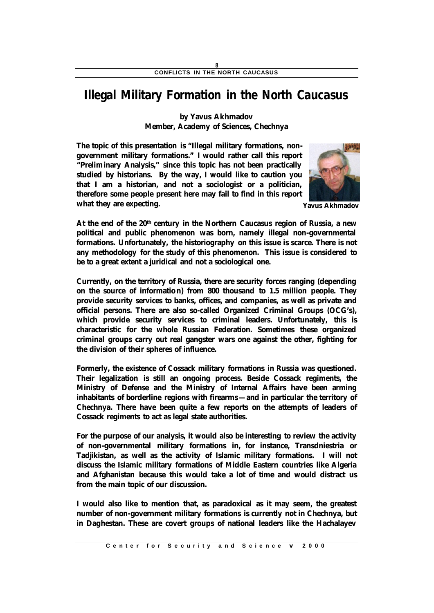## **Illegal Military Formation in the North Caucasus**

**by Yavus Akhmadov Member, Academy of Sciences, Chechnya**

**The topic of this presentation is "Illegal military formations, nongovernment military formations." I would rather call this report "Preliminary Analysis," since this topic has not been practically studied by historians. By the way, I would like to caution you that I am a historian, and not a sociologist or a politician, therefore some people present here may fail to find in this report what they are expecting.**



**Yavus Akhmadov**

**At the end of the 20th century in the Northern Caucasus region of Russia, a new political and public phenomenon was born, namely illegal non-governmental formations. Unfortunately, the historiography on this issue is scarce. There is not any methodology for the study of this phenomenon. This issue is considered to be to a great extent a juridical and not a sociological one.**

**Currently, on the territory of Russia, there are security forces ranging (depending on the source of information) from 800 thousand to 1.5 million people. They provide security services to banks, offices, and companies, as well as private and official persons. There are also so-called Organized Criminal Groups (OCG's), which provide security services to criminal leaders. Unfortunately, this is characteristic for the whole Russian Federation. Sometimes these organized criminal groups carry out real gangster wars one against the other, fighting for the division of their spheres of influence.**

**Formerly, the existence of Cossack military formations in Russia was questioned. Their legalization is still an ongoing process. Beside Cossack regiments, the Ministry of Defense and the Ministry of Internal Affairs have been arming inhabitants of borderline regions with firearms—and in particular the territory of Chechnya. There have been quite a few reports on the attempts of leaders of Cossack regiments to act as legal state authorities.**

**For the purpose of our analysis, it would also be interesting to review the activity of non-governmental military formations in, for instance, Transdniestria or Tadjikistan, as well as the activity of Islamic military formations. I will not discuss the Islamic military formations of Middle Eastern countries like Algeria and Afghanistan because this would take a lot of time and would distract us from the main topic of our discussion.**

**I would also like to mention that, as paradoxical as it may seem, the greatest number of non-government military formations is currently not in Chechnya, but in Daghestan. These are covert groups of national leaders like the Hachalayev**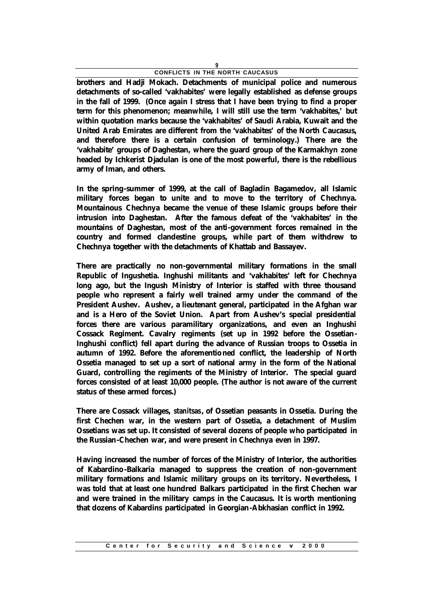**brothers and Hadji Mokach. Detachments of municipal police and numerous detachments of so-called 'vakhabites' were legally established as defense groups in the fall of 1999. (Once again I stress that I have been trying to find a proper term for this phenomenon; meanwhile, I will still use the term 'vakhabites,' but within quotation marks because the 'vakhabites' of Saudi Arabia, Kuwait and the United Arab Emirates are different from the 'vakhabites' of the North Caucasus, and therefore there is a certain confusion of terminology.) There are the 'vakhabite' groups of Daghestan, where the guard group of the Karmakhyn zone headed by Ichkerist Djadulan is one of the most powerful, there is the rebellious army of Iman, and others.**

**In the spring-summer of 1999, at the call of Bagladin Bagamedov, all Islamic military forces began to unite and to move to the territory of Chechnya. Mountainous Chechnya became the venue of these Islamic groups before their intrusion into Daghestan. After the famous defeat of the 'vakhabites' in the mountains of Daghestan, most of the anti-government forces remained in the country and formed clandestine groups, while part of them withdrew to Chechnya together with the detachments of Khattab and Bassayev.**

**There are practically no non-governmental military formations in the small Republic of Ingushetia. Inghushi militants and 'vakhabites' left for Chechnya long ago, but the Ingush Ministry of Interior is staffed with three thousand people who represent a fairly well trained army under the command of the President Aushev. Aushev, a lieutenant general, participated in the Afghan war and is a Hero of the Soviet Union. Apart from Aushev's special presidential forces there are various paramilitary organizations, and even an Inghushi Cossack Regiment. Cavalry regiments (set up in 1992 before the Ossetian-Inghushi conflict) fell apart during the advance of Russian troops to Ossetia in autumn of 1992. Before the aforementioned conflict, the leadership of North Ossetia managed to set up a sort of national army in the form of the National Guard, controlling the regiments of the Ministry of Interior. The special guard forces consisted of at least 10,000 people. (The author is not aware of the current status of these armed forces.)**

**There are Cossack villages,** *stanitsas***, of Ossetian peasants in Ossetia. During the first Chechen war, in the western part of Ossetia, a detachment of Muslim Ossetians was set up. It consisted of several dozens of people who participated in the Russian-Chechen war, and were present in Chechnya even in 1997.**

**Having increased the number of forces of the Ministry of Interior, the authorities of Kabardino-Balkaria managed to suppress the creation of non-government military formations and Islamic military groups on its territory. Nevertheless, I was told that at least one hundred Balkars participated in the first Chechen war and were trained in the military camps in the Caucasus. It is worth mentioning that dozens of Kabardins participated in Georgian-Abkhasian conflict in 1992.**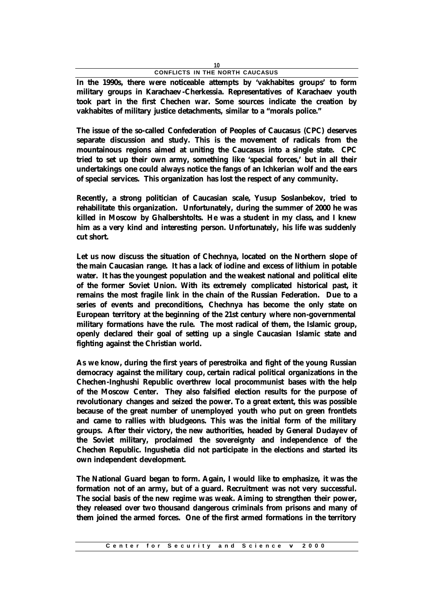**In the 1990s, there were noticeable attempts by 'vakhabites groups' to form military groups in Karachaev-Cherkessia. Representatives of Karachaev youth took part in the first Chechen war. Some sources indicate the creation by vakhabites of military justice detachments, similar to a "morals police."**

**The issue of the so-called Confederation of Peoples of Caucasus (CPC) deserves separate discussion and study. This is the movement of radicals from the mountainous regions aimed at uniting the Caucasus into a single state. CPC tried to set up their own army, something like 'special forces,' but in all their undertakings one could always notice the fangs of an Ichkerian wolf and the ears of special services. This organization has lost the respect of any community.**

**Recently, a strong politician of Caucasian scale, Yusup Soslanbekov, tried to rehabilitate this organization. Unfortunately, during the summer of 2000 he was killed in Moscow by Ghalbershtolts. He was a student in my class, and I knew him as a very kind and interesting person. Unfortunately, his life was suddenly cut short.**

**Let us now discuss the situation of Chechnya, located on the Northern slope of the main Caucasian range. It has a lack of iodine and excess of lithium in potable water. It has the youngest population and the weakest national and political elite of the former Soviet Union. With its extremely complicated historical past, it remains the most fragile link in the chain of the Russian Federation. Due to a series of events and preconditions, Chechnya has become the only state on European territory at the beginning of the 21st century where non-governmental military formations have the rule. The most radical of them, the Islamic group, openly declared their goal of setting up a single Caucasian Islamic state and fighting against the Christian world.**

**As we know, during the first years of perestroika and fight of the young Russian democracy against the military coup, certain radical political organizations in the Chechen-Inghushi Republic overthrew local procommunist bases with the help of the Moscow Center. They also falsified election results for the purpose of revolutionary changes and seized the power. To a great extent, this was possible because of the great number of unemployed youth who put on green frontlets and came to rallies with bludgeons. This was the initial form of the military groups. After their victory, the new authorities, headed by General Dudayev of the Soviet military, proclaimed the sovereignty and independence of the Chechen Republic. Ingushetia did not participate in the elections and started its own independent development.**

**The National Guard began to form. Again, I would like to emphasize, it was the formation not of an army, but of a guard. Recruitment was not very successful. The social basis of the new regime was weak. Aiming to strengthen their power, they released over two thousand dangerous criminals from prisons and many of them joined the armed forces. One of the first armed formations in the territory**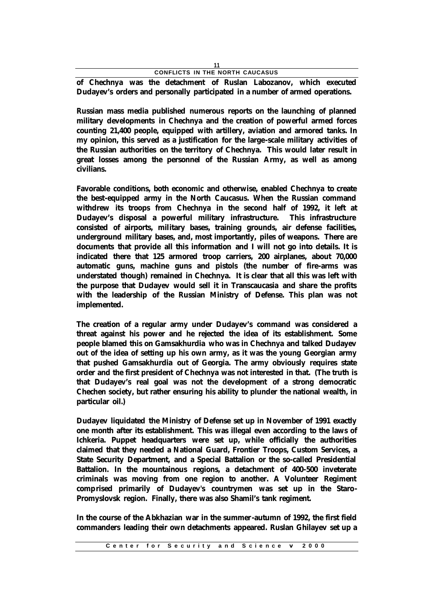**of Chechnya was the detachment of Ruslan Labozanov, which executed Dudayev's orders and personally participated in a number of armed operations.**

**Russian mass media published numerous reports on the launching of planned military developments in Chechnya and the creation of powerful armed forces counting 21,400 people, equipped with artillery, aviation and armored tanks. In my opinion, this served as a justification for the large-scale military activities of the Russian authorities on the territory of Chechnya. This would later result in great losses among the personnel of the Russian Army, as well as among civilians.**

**Favorable conditions, both economic and otherwise, enabled Chechnya to create the best-equipped army in the North Caucasus. When the Russian command withdrew its troops from Chechnya in the second half of 1992, it left at Dudayev's disposal a powerful military infrastructure. This infrastructure consisted of airports, military bases, training grounds, air defense facilities, underground military bases, and, most importantly, piles of weapons. There are documents that provide all this information and I will not go into details. It is indicated there that 125 armored troop carriers, 200 airplanes, about 70,000 automatic guns, machine guns and pistols (the number of fire-arms was understated though) remained in Chechnya. It is clear that all this was left with the purpose that Dudayev would sell it in Transcaucasia and share the profits with the leadership of the Russian Ministry of Defense. This plan was not implemented.**

**The creation of a regular army under Dudayev's command was considered a threat against his power and he rejected the idea of its establishment. Some people blamed this on Gamsakhurdia who was in Chechnya and talked Dudayev out of the idea of setting up his own army, as it was the young Georgian army that pushed Gamsakhurdia out of Georgia. The army obviously requires state order and the first president of Chechnya was not interested in that. (The truth is that Dudayev's real goal was not the development of a strong democratic Chechen society, but rather ensuring his ability to plunder the national wealth, in particular oil.)**

**Dudayev liquidated the Ministry of Defense set up in November of 1991 exactly one month after its establishment. This was illegal even according to the laws of Ichkeria. Puppet headquarters were set up, while officially the authorities claimed that they needed a National Guard, Frontier Troops, Custom Services, a State Security Department, and a Special Battalion or the so-called Presidential Battalion. In the mountainous regions, a detachment of 400-500 inveterate criminals was moving from one region to another. A Volunteer Regiment comprised primarily of Dudayev's countrymen was set up in the Staro-Promyslovsk region. Finally, there was also Shamil's tank regiment.**

**In the course of the Abkhazian war in the summer-autumn of 1992, the first field commanders leading their own detachments appeared. Ruslan Ghilayev set up a**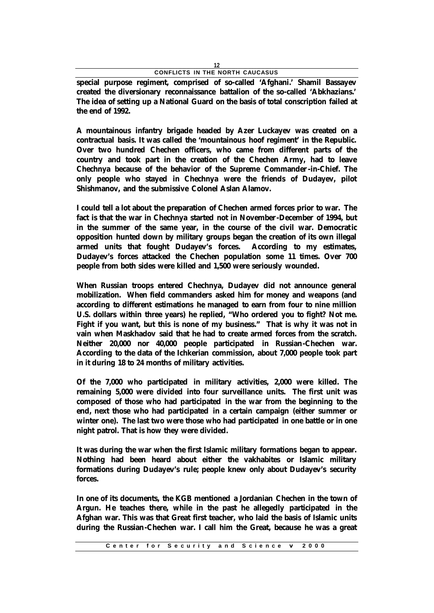**special purpose regiment, comprised of so-called 'Afghani.' Shamil Bassayev created the diversionary reconnaissance battalion of the so-called 'Abkhazians.' The idea of setting up a National Guard on the basis of total conscription failed at the end of 1992.**

**A mountainous infantry brigade headed by Azer Luckayev was created on a contractual basis. It was called the 'mountainous hoof regiment' in the Republic. Over two hundred Chechen officers, who came from different parts of the country and took part in the creation of the Chechen Army, had to leave Chechnya because of the behavior of the Supreme Commander-in-Chief. The only people who stayed in Chechnya were the friends of Dudayev, pilot Shishmanov, and the submissive Colonel Aslan Alamov.**

**I could tell a lot about the preparation of Chechen armed forces prior to war. The fact is that the war in Chechnya started not in November-December of 1994, but in the summer of the same year, in the course of the civil war. Democratic opposition hunted down by military groups began the creation of its own illegal armed units that fought Dudayev's forces. According to my estimates, Dudayev's forces attacked the Chechen population some 11 times. Over 700 people from both sides were killed and 1,500 were seriously wounded.**

**When Russian troops entered Chechnya, Dudayev did not announce general mobilization. When field commanders asked him for money and weapons (and according to different estimations he managed to earn from four to nine million U.S. dollars within three years) he replied, "Who ordered you to fight? Not me. Fight if you want, but this is none of my business." That is why it was not in vain when Maskhadov said that he had to create armed forces from the scratch. Neither 20,000 nor 40,000 people participated in Russian-Chechen war. According to the data of the Ichkerian commission, about 7,000 people took part in it during 18 to 24 months of military activities.** 

**Of the 7,000 who participated in military activities, 2,000 were killed. The remaining 5,000 were divided into four surveillance units. The first unit was composed of those who had participated in the war from the beginning to the end, next those who had participated in a certain campaign (either summer or winter one). The last two were those who had participated in one battle or in one night patrol. That is how they were divided.**

**It was during the war when the first Islamic military formations began to appear. Nothing had been heard about either the vakhabites or Islamic military formations during Dudayev's rule; people knew only about Dudayev's security forces.**

**In one of its documents, the KGB mentioned a Jordanian Chechen in the town of Argun. He teaches there, while in the past he allegedly participated in the Afghan war. This was that Great first teacher, who laid the basis of Islamic units during the Russian-Chechen war. I call him the Great, because he was a great**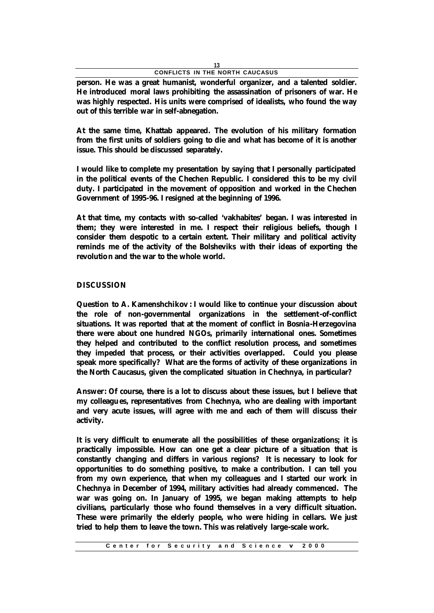**person. He was a great humanist, wonderful organizer, and a talented soldier. He introduced moral laws prohibiting the assassination of prisoners of war. He was highly respected. His units were comprised of idealists, who found the way out of this terrible war in self-abnegation.**

**At the same time, Khattab appeared. The evolution of his military formation from the first units of soldiers going to die and what has become of it is another issue. This should be discussed separately.**

**I would like to complete my presentation by saying that I personally participated in the political events of the Chechen Republic. I considered this to be my civil duty. I participated in the movement of opposition and worked in the Chechen Government of 1995-96. I resigned at the beginning of 1996.**

**At that time, my contacts with so-called 'vakhabites' began. I was interested in them; they were interested in me. I respect their religious beliefs, though I consider them despotic to a certain extent. Their military and political activity reminds me of the activity of the Bolsheviks with their ideas of exporting the revolution and the war to the whole world.**

### **DISCUSSION**

**Question to A. Kamenshchikov : I would like to continue your discussion about the role of non-governmental organizations in the settlement-of-conflict situations. It was reported that at the moment of conflict in Bosnia-Herzegovina there were about one hundred NGOs, primarily international ones. Sometimes they helped and contributed to the conflict resolution process, and sometimes they impeded that process, or their activities overlapped. Could you please speak more specifically? What are the forms of activity of these organizations in the North Caucasus, given the complicated situation in Chechnya, in particular?**

**Answer: Of course, there is a lot to discuss about these issues, but I believe that my colleagues, representatives from Chechnya, who are dealing with important and very acute issues, will agree with me and each of them will discuss their activity.**

**It is very difficult to enumerate all the possibilities of these organizations; it is practically impossible. How can one get a clear picture of a situation that is constantly changing and differs in various regions? It is necessary to look for opportunities to do something positive, to make a contribution. I can tell you from my own experience, that when my colleagues and I started our work in Chechnya in December of 1994, military activities had already commenced. The war was going on. In January of 1995, we began making attempts to help civilians, particularly those who found themselves in a very difficult situation. These were primarily the elderly people, who were hiding in cellars. We just tried to help them to leave the town. This was relatively large-scale work.**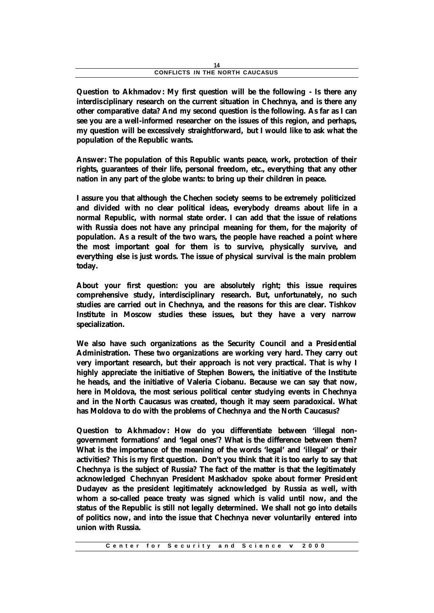**Question to Akhmadov: My first question will be the following - Is there any interdisciplinary research on the current situation in Chechnya, and is there any other comparative data? And my second question is the following. As far as I can see you are a well-informed researcher on the issues of this region, and perhaps, my question will be excessively straightforward, but I would like to ask what the population of the Republic wants.**

**Answer: The population of this Republic wants peace, work, protection of their rights, guarantees of their life, personal freedom, etc., everything that any other nation in any part of the globe wants: to bring up their children in peace.**

**I assure you that although the Chechen society seems to be extremely politicized and divided with no clear political ideas, everybody dreams about life in a normal Republic, with normal state order. I can add that the issue of relations with Russia does not have any principal meaning for them, for the majority of population. As a result of the two wars, the people have reached a point where the most important goal for them is to survive, physically survive, and everything else is just words. The issue of physical survival is the main problem today.**

**About your first question: you are absolutely right; this issue requires comprehensive study, interdisciplinary research. But, unfortunately, no such studies are carried out in Chechnya, and the reasons for this are clear. Tishkov Institute in Moscow studies these issues, but they have a very narrow specialization.**

**We also have such organizations as the Security Council and a Presidential Administration. These two organizations are working very hard. They carry out very important research, but their approach is not very practical. That is why I highly appreciate the initiative of Stephen Bowers, the initiative of the Institute he heads, and the initiative of Valeria Ciobanu. Because we can say that now, here in Moldova, the most serious political center studying events in Chechnya and in the North Caucasus was created, though it may seem paradoxical. What has Moldova to do with the problems of Chechnya and the North Caucasus?**

**Question to Akhmadov: How do you differentiate between 'illegal nongovernment formations' and 'legal ones'? What is the difference between them? What is the importance of the meaning of the words 'legal' and 'illegal' or their activities? This is my first question. Don't you think that it is too early to say that Chechnya is the subject of Russia? The fact of the matter is that the legitimately acknowledged Chechnyan President Maskhadov spoke about former President Dudayev as the president legitimately acknowledged by Russia as well, with whom a so-called peace treaty was signed which is valid until now, and the status of the Republic is still not legally determined. We shall not go into details of politics now, and into the issue that Chechnya never voluntarily entered into union with Russia.**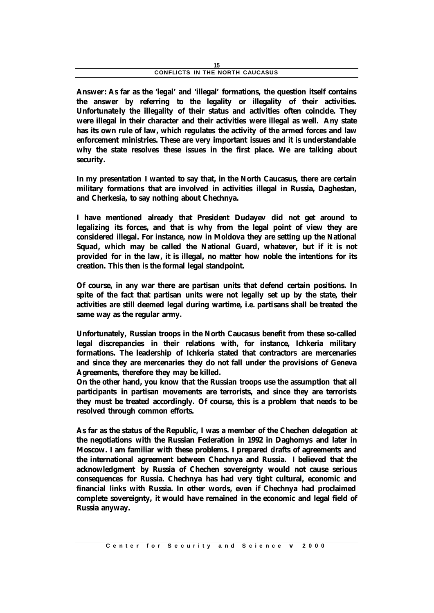**Answer: As far as the 'legal' and 'illegal' formations, the question itself contains the answer by referring to the legality or illegality of their activities. Unfortunate ly the illegality of their status and activities often coincide. They were illegal in their character and their activities were illegal as well. Any state has its own rule of law, which regulates the activity of the armed forces and law enforcement ministries. These are very important issues and it is understandable why the state resolves these issues in the first place. We are talking about security.**

**In my presentation I wanted to say that, in the North Caucasus, there are certain military formations that are involved in activities illegal in Russia, Daghestan, and Cherkesia, to say nothing about Chechnya.**

**I have mentioned already that President Dudayev did not get around to legalizing its forces, and that is why from the legal point of view they are considered illegal. For instance, now in Moldova they are setting up the National Squad, which may be called the National Guard, whatever, but if it is not provided for in the law, it is illegal, no matter how noble the intentions for its creation. This then is the formal legal standpoint.**

**Of course, in any war there are partisan units that defend certain positions. In spite of the fact that partisan units were not legally set up by the state, their activities are still deemed legal during wartime, i.e. partisans shall be treated the same way as the regular army.**

**Unfortunately, Russian troops in the North Caucasus benefit from these so-called legal discrepancies in their relations with, for instance, Ichkeria military formations. The leadership of Ichkeria stated that contractors are mercenaries and since they are mercenaries they do not fall under the provisions of Geneva Agreements, therefore they may be killed.**

**On the other hand, you know that the Russian troops use the assumption that all participants in partisan movements are terrorists, and since they are terrorists they must be treated accordingly. Of course, this is a problem that needs to be resolved through common efforts.**

**As far as the status of the Republic, I was a member of the Chechen delegation at the negotiations with the Russian Federation in 1992 in Daghomys and later in Moscow. I am familiar with these problems. I prepared drafts of agreements and the international agreement between Chechnya and Russia. I believed that the acknowledgment by Russia of Chechen sovereignty would not cause serious consequences for Russia. Chechnya has had very tight cultural, economic and financial links with Russia. In other words, even if Chechnya had proclaimed complete sovereignty, it would have remained in the economic and legal field of Russia anyway.**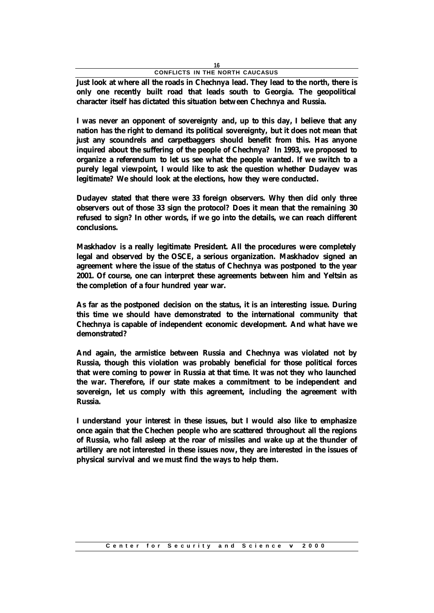**Just look at where all the roads in Chechnya lead. They lead to the north, there is only one recently built road that leads south to Georgia. The geopolitical character itself has dictated this situation between Chechnya and Russia.**

**I was never an opponent of sovereignty and, up to this day, I believe that any nation has the right to demand its political sovereignty, but it does not mean that just any scoundrels and carpetbaggers should benefit from this. Has anyone inquired about the suffering of the people of Chechnya? In 1993, we proposed to organize a referendum to let us see what the people wanted. If we switch to a purely legal viewpoint, I would like to ask the question whether Dudayev was legitimate? We should look at the elections, how they were conducted.**

**Dudayev stated that there were 33 foreign observers. Why then did only three observers out of those 33 sign the protocol? Does it mean that the remaining 30 refused to sign? In other words, if we go into the details, we can reach different conclusions.**

**Maskhadov is a really legitimate President. All the procedures were completely legal and observed by the OSCE, a serious organization. Maskhadov signed an agreement where the issue of the status of Chechnya was postponed to the year 2001. Of course, one can interpret these agreements between him and Yeltsin as the completion of a four hundred year war.**

**As far as the postponed decision on the status, it is an interesting issue. During this time we should have demonstrated to the international community that Chechnya is capable of independent economic development. And what have we demonstrated?**

**And again, the armistice between Russia and Chechnya was violated not by Russia, though this violation was probably beneficial for those political forces that were coming to power in Russia at that time. It was not they who launched the war. Therefore, if our state makes a commitment to be independent and sovereign, let us comply with this agreement, including the agreement with Russia.**

**I understand your interest in these issues, but I would also like to emphasize once again that the Chechen people who are scattered throughout all the regions of Russia, who fall asleep at the roar of missiles and wake up at the thunder of artillery are not interested in these issues now, they are interested in the issues of physical survival and we must find the ways to help them.**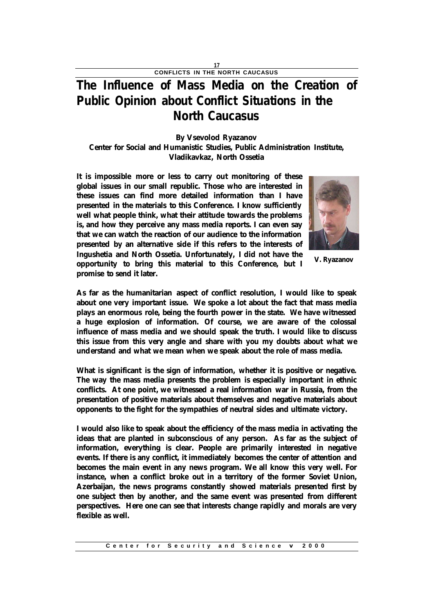## **The Influence of Mass Media on the Creation of Public Opinion about Conflict Situations in the North Caucasus**

### **By Vsevolod Ryazanov**

**Center for Social and Humanistic Studies, Public Administration Institute, Vladikavkaz, North Ossetia**

**It is impossible more or less to carry out monitoring of these global issues in our small republic. Those who are interested in these issues can find more detailed information than I have presented in the materials to this Conference. I know sufficiently well what people think, what their attitude towards the problems is, and how they perceive any mass media reports. I can even say that we can watch the reaction of our audience to the information presented by an alternative side if this refers to the interests of Ingushetia and North Ossetia. Unfortunately, I did not have the opportunity to bring this material to this Conference, but I** 

**promise to send it later.**



**V. Ryazanov**

**As far as the humanitarian aspect of conflict resolution, I would like to speak about one very important issue. We spoke a lot about the fact that mass media plays an enormous role, being the fourth power in the state. We have witnessed a huge explosion of information. Of course, we are aware of the colossal influence of mass media and we should speak the truth. I would like to discuss this issue from this very angle and share with you my doubts about what we understand and what we mean when we speak about the role of mass media.**

**What is significant is the sign of information, whether it is positive or negative. The way the mass media presents the problem is especially important in ethnic conflicts. At one point, we witnessed a real information war in Russia, from the presentation of positive materials about themselves and negative materials about opponents to the fight for the sympathies of neutral sides and ultimate victory.**

**I would also like to speak about the efficiency of the mass media in activating the ideas that are planted in subconscious of any person. As far as the subject of information, everything is clear. People are primarily interested in negative events. If there is any conflict, it immediately becomes the center of attention and becomes the main event in any news program. We all know this very well. For instance, when a conflict broke out in a territory of the former Soviet Union, Azerbaijan, the news programs constantly showed materials presented first by one subject then by another, and the same event was presented from different perspectives. Here one can see that interests change rapidly and morals are very flexible as well.**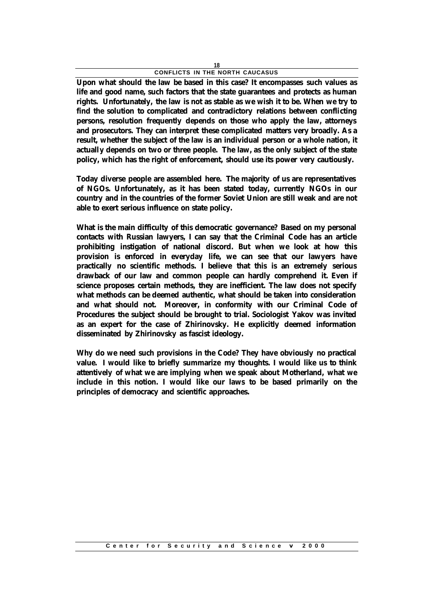**Upon what should the law be based in this case? It encompasses such values as life and good name, such factors that the state guarantees and protects as human rights. Unfortunately, the law is not as stable as we wish it to be. When we try to find the solution to complicated and contradictory relations between conflicting persons, resolution frequently depends on those who apply the law, attorneys and prosecutors. They can interpret these complicated matters very broadly. As a result, whether the subject of the law is an individual person or a whole nation, it actually depends on two or three people. The law, as the only subject of the state policy, which has the right of enforcement, should use its power very cautiously.**

**Today diverse people are assembled here. The majority of us are representatives of NGOs. Unfortunately, as it has been stated today, currently NGOs in our country and in the countries of the former Soviet Union are still weak and are not able to exert serious influence on state policy.**

**What is the main difficulty of this democratic governance? Based on my personal contacts with Russian lawyers, I can say that the Criminal Code has an article prohibiting instigation of national discord. But when we look at how this provision is enforced in everyday life, we can see that our lawyers have practically no scientific methods. I believe that this is an extremely serious drawback of our law and common people can hardly comprehend it. Even if science proposes certain methods, they are inefficient. The law does not specify what methods can be deemed authentic, what should be taken into consideration and what should not. Moreover, in conformity with our Criminal Code of Procedures the subject should be brought to trial. Sociologist Yakov was invited as an expert for the case of Zhirinovsky. He explicitly deemed information disseminated by Zhirinovsky as fascist ideology.**

**Why do we need such provisions in the Code? They have obviously no practical value. I would like to briefly summarize my thoughts. I would like us to think attentively of what we are implying when we speak about Motherland, what we include in this notion. I would like our laws to be based primarily on the principles of democracy and scientific approaches.**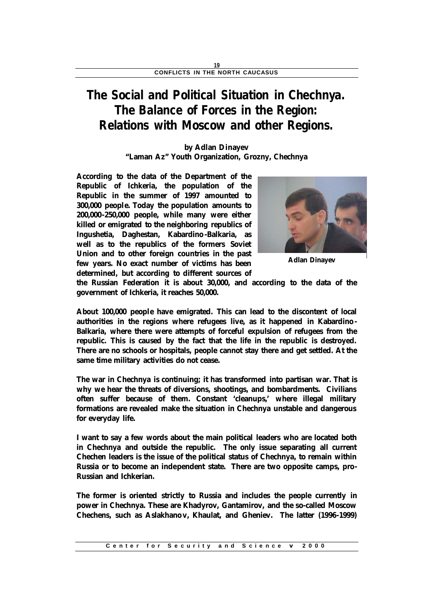## **The Social and Political Situation in Chechnya. The Balance of Forces in the Region: Relations with Moscow and other Regions.**

### **by Adlan Dinayev "Laman Az" Youth Organization, Grozny, Chechnya**

**According to the data of the Department of the Republic of Ichkeria, the population of the Republic in the summer of 1997 amounted to 300,000 people. Today the population amounts to 200,000-250,000 people, while many were either killed or emigrated to the neighboring republics of Ingushetia, Daghestan, Kabardino-Balkaria, as well as to the republics of the formers Soviet Union and to other foreign countries in the past few years. No exact number of victims has been determined, but according to different sources of** 



**Adlan Dinayev**

**the Russian Federation it is about 30,000, and according to the data of the government of Ichkeria, it reaches 50,000.**

**About 100,000 people have emigrated. This can lead to the discontent of local authorities in the regions where refugees live, as it happened in Kabardino - Balkaria, where there were attempts of forceful expulsion of refugees from the republic. This is caused by the fact that the life in the republic is destroyed. There are no schools or hospitals, people cannot stay there and get settled. At the same time military activities do not cease.**

**The war in Chechnya is continuing; it has transformed into partisan war. That is why we hear the threats of diversions, shootings, and bombardments. Civilians often suffer because of them. Constant 'cleanups,' where illegal military formations are revealed make the situation in Chechnya unstable and dangerous for everyday life.**

**I want to say a few words about the main political leaders who are located both in Chechnya and outside the republic. The only issue separating all current Chechen leaders is the issue of the political status of Chechnya, to remain within Russia or to become an independent state. There are two opposite camps, pro-Russian and Ichkerian.**

**The former is oriented strictly to Russia and includes the people currently in power in Chechnya. These are Khadyrov, Gantamirov, and the so-called Moscow Chechens, such as Aslakhanov, Khaulat, and Gheniev. The latter (1996-1999)**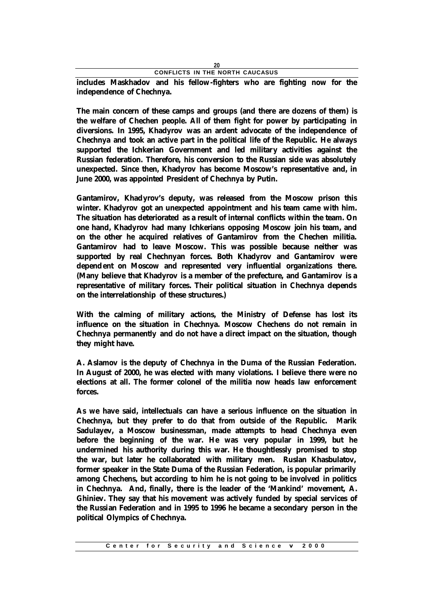**includes Maskhadov and his fellow-fighters who are fighting now for the independence of Chechnya.**

**The main concern of these camps and groups (and there are dozens of them) is the welfare of Chechen people. All of them fight for power by participating in diversions. In 1995, Khadyrov was an ardent advocate of the independence of Chechnya and took an active part in the political life of the Republic. He always supported the Ichkerian Government and led military activities against the Russian federation. Therefore, his conversion to the Russian side was absolutely unexpected. Since then, Khadyrov has become Moscow's representative and, in June 2000, was appointed President of Chechnya by Putin.**

**Gantamirov, Khadyrov's deputy, was released from the Moscow prison this winter. Khadyrov got an unexpected appointment and his team came with him. The situation has deteriorated as a result of internal conflicts within the team. On one hand, Khadyrov had many Ichkerians opposing Moscow join his team, and on the other he acquired relatives of Gantamirov from the Chechen militia. Gantamirov had to leave Moscow. This was possible because neither was supported by real Chechnyan forces. Both Khadyrov and Gantamirov were dependent on Moscow and represented very influential organizations there. (Many believe that Khadyrov is a member of the prefecture, and Gantamirov is a representative of military forces. Their political situation in Chechnya depends on the interrelationship of these structures.)** 

**With the calming of military actions, the Ministry of Defense has lost its influence on the situation in Chechnya. Moscow Chechens do not remain in Chechnya permanently and do not have a direct impact on the situation, though they might have.**

**A. Aslamov is the deputy of Chechnya in the Duma of the Russian Federation. In August of 2000, he was elected with many violations. I believe there were no elections at all. The former colonel of the militia now heads law enforcement forces.**

**As we have said, intellectuals can have a serious influence on the situation in Chechnya, but they prefer to do that from outside of the Republic. Marik Sadulayev, a Moscow businessman, made attempts to head Chechnya even before the beginning of the war. He was very popular in 1999, but he undermined his authority during this war. He thoughtlessly promised to stop the war, but later he collaborated with military men. Ruslan Khasbulatov, former speaker in the State Duma of the Russian Federation, is popular primarily among Chechens, but according to him he is not going to be involved in politics in Chechnya. And, finally, there is the leader of the 'Mankind' movement, A. Ghiniev. They say that his movement was actively funded by special services of the Russian Federation and in 1995 to 1996 he became a secondary person in the political Olympics of Chechnya.**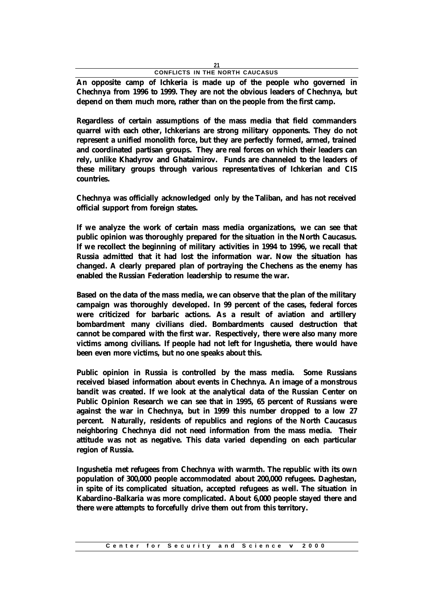**An opposite camp of Ichkeria is made up of the people who governed in Chechnya from 1996 to 1999. They are not the obvious leaders of Chechnya, but depend on them much more, rather than on the people from the first camp.**

**Regardless of certain assumptions of the mass media that field commanders quarrel with each other, Ichkerians are strong military opponents. They do not represent a unified monolith force, but they are perfectly formed, armed, trained and coordinated partisan groups. They are real forces on which their leaders can rely, unlike Khadyrov and Ghataimirov. Funds are channeled to the leaders of these military groups through various representatives of Ichkerian and CIS countries.**

**Chechnya was officially acknowledged only by the Taliban, and has not received official support from foreign states.**

**If we analyze the work of certain mass media organizations, we can see that public opinion was thoroughly prepared for the situation in the North Caucasus. If we recollect the beginning of military activities in 1994 to 1996, we recall that Russia admitted that it had lost the information war. Now the situation has changed. A clearly prepared plan of portraying the Chechens as the enemy has enabled the Russian Federation leadership to resume the war.**

**Based on the data of the mass media, we can observe that the plan of the military campaign was thoroughly developed. In 99 percent of the cases, federal forces were criticized for barbaric actions. As a result of aviation and artillery bombardment many civilians died. Bombardments caused destruction that cannot be compared with the first war. Respectively, there were also many more victims among civilians. If people had not left for Ingushetia, there would have been even more victims, but no one speaks about this.**

**Public opinion in Russia is controlled by the mass media. Some Russians received biased information about events in Chechnya. An image of a monstrous bandit was created. If we look at the analytical data of the Russian Center on Public Opinion Research we can see that in 1995, 65 percent of Russians were against the war in Chechnya, but in 1999 this number dropped to a low 27 percent. Naturally, residents of republics and regions of the North Caucasus neighboring Chechnya did not need information from the mass media. Their attitude was not as negative. This data varied depending on each particular region of Russia.**

**Ingushetia met refugees from Chechnya with warmth. The republic with its own population of 300,000 people accommodated about 200,000 refugees. Daghestan, in spite of its complicated situation, accepted refugees as well. The situation in Kabardino-Balkaria was more complicated. About 6,000 people stayed there and there were attempts to forcefully drive them out from this territory.**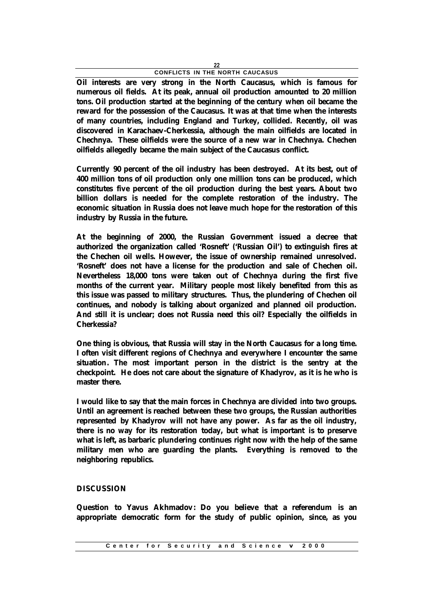**Oil interests are very strong in the North Caucasus, which is famous for numerous oil fields. At its peak, annual oil production amounted to 20 million tons. Oil production started at the beginning of the century when oil became the reward for the possession of the Caucasus. It was at that time when the interests of many countries, including England and Turkey, collided. Recently, oil was discovered in Karachaev-Cherkessia, although the main oilfields are located in Chechnya. These oilfields were the source of a new war in Chechnya. Chechen oilfields allegedly became the main subject of the Caucasus conflict.**

**Currently 90 percent of the oil industry has been destroyed. At its best, out of 400 million tons of oil production only one million tons can be produced, which constitutes five percent of the oil production during the best years. About two billion dollars is needed for the complete restoration of the industry. The economic situation in Russia does not leave much hope for the restoration of this industry by Russia in the future.**

**At the beginning of 2000, the Russian Government issued a decree that authorized the organization called 'Rosneft' ('Russian Oil') to extinguish fires at the Chechen oil wells. However, the issue of ownership remained unresolved. 'Rosneft' does not have a license for the production and sale of Chechen oil. Nevertheless 18,000 tons were taken out of Chechnya during the first five months of the current year. Military people most likely benefited from this as this issue was passed to military structures. Thus, the plundering of Chechen oil continues, and nobody is talking about organized and planned oil production. And still it is unclear; does not Russia need this oil? Especially the oilfields in Cherkessia?**

**One thing is obvious, that Russia will stay in the North Caucasus for a long time. I often visit different regions of Chechnya and everywhere I encounter the same situation. The most important person in the district is the sentry at the checkpoint. He does not care about the signature of Khadyrov, as it is he who is master there.**

**I would like to say that the main forces in Chechnya are divided into two groups. Until an agreement is reached between these two groups, the Russian authorities represented by Khadyrov will not have any power. As far as the oil industry, there is no way for its restoration today, but what is important is to preserve what is left, as barbaric plundering continues right now with the help of the same military men who are guarding the plants. Everything is removed to the neighboring republics.**

### **DISCUSSION**

**Question to Yavus Akhmadov: Do you believe that a referendum is an appropriate democratic form for the study of public opinion, since, as you**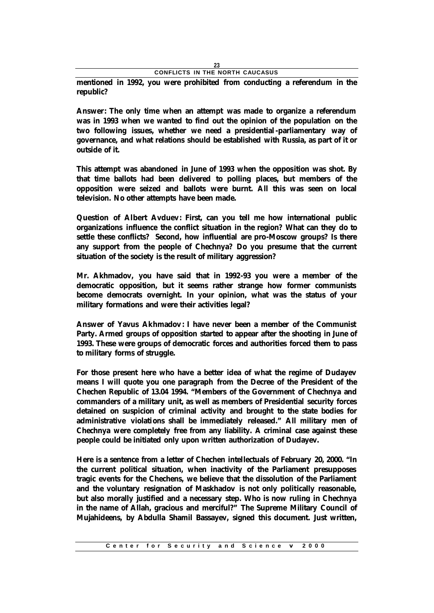**mentioned in 1992, you were prohibited from conducting a referendum in the republic?**

**Answer: The only time when an attempt was made to organize a referendum was in 1993 when we wanted to find out the opinion of the population on the two following issues, whether we need a presidential-parliamentary way of governance, and what relations should be established with Russia, as part of it or outside of it.**

**This attempt was abandoned in June of 1993 when the opposition was shot. By that time ballots had been delivered to polling places, but members of the opposition were seized and ballots were burnt. All this was seen on local television. No other attempts have been made.**

**Question of Albert Avduev: First, can you tell me how international public organizations influence the conflict situation in the region? What can they do to settle these conflicts? Second, how influential are pro-Moscow groups? Is there any support from the people of Chechnya? Do you presume that the current situation of the society is the result of military aggression?**

**Mr. Akhmadov, you have said that in 1992-93 you were a member of the democratic opposition, but it seems rather strange how former communists become democrats overnight. In your opinion, what was the status of your military formations and were their activities legal?** 

**Answer of Yavus Akhmadov: I have never been a member of the Communist Party. Armed groups of opposition started to appear after the shooting in June of 1993. These were groups of democratic forces and authorities forced them to pass to military forms of struggle.**

**For those present here who have a better idea of what the regime of Dudayev means I will quote you one paragraph from the Decree of the President of the Chechen Republic of 13.04 1994. "Members of the Government of Chechnya and commanders of a military unit, as well as members of Presidential security forces detained on suspicion of criminal activity and brought to the state bodies for administrative violations shall be immediately released." All military men of Chechnya were completely free from any liability. A criminal case against these people could be initiated only upon written authorization of Dudayev.**

**Here is a sentence from a letter of Chechen intellectuals of February 20, 2000. "In the current political situation, when inactivity of the Parliament presupposes tragic events for the Chechens, we believe that the dissolution of the Parliament and the voluntary resignation of Maskhadov is not only politically reasonable, but also morally justified and a necessary step. Who is now ruling in Chechnya in the name of Allah, gracious and merciful?" The Supreme Military Council of Mujahideens, by Abdulla Shamil Bassayev, signed this document. Just written,**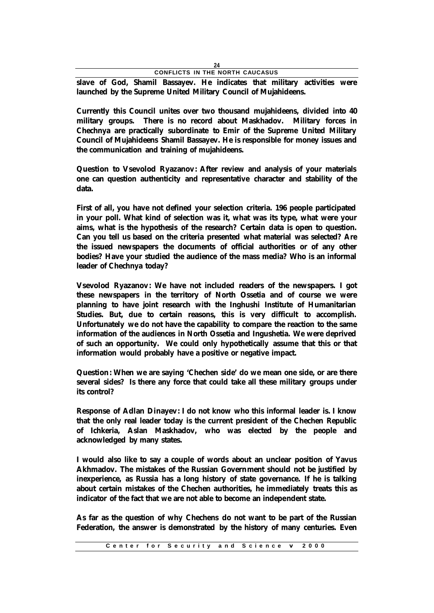**slave of God, Shamil Bassayev. He indicates that military activities were launched by the Supreme United Military Council of Mujahideens.**

**Currently this Council unites over two thousand mujahideens, divided into 40 military groups. There is no record about Maskhadov. Military forces in Chechnya are practically subordinate to Emir of the Supreme United Military Council of Mujahideens Shamil Bassayev. He is responsible for money issues and the communication and training of mujahideens.**

**Question to Vsevolod Ryazanov: After review and analysis of your materials one can question authenticity and representative character and stability of the data.**

**First of all, you have not defined your selection criteria. 196 people participated in your poll. What kind of selection was it, what was its type, what were your aims, what is the hypothesis of the research? Certain data is open to question. Can you tell us based on the criteria presented what material was selected? Are the issued newspapers the documents of official authorities or of any other bodies? Have your studied the audience of the mass media? Who is an informal leader of Chechnya today?**

**Vsevolod Ryazanov: We have not included readers of the newspapers. I got these newspapers in the territory of North Ossetia and of course we were planning to have joint research with the Inghushi Institute of Humanitarian Studies. But, due to certain reasons, this is very difficult to accomplish. Unfortunately we do not have the capability to compare the reaction to the same information of the audiences in North Ossetia and Ingushetia. We were deprived of such an opportunity. We could only hypothetically assume that this or that information would probably have a positive or negative impact.**

**Question: When we are saying 'Chechen side' do we mean one side, or are there several sides? Is there any force that could take all these military groups under its control?**

**Response of Adlan Dinayev: I do not know who this informal leader is. I know that the only real leader today is the current president of the Chechen Republic of Ichkeria, Aslan Maskhadov, who was elected by the people and acknowledged by many states.**

**I would also like to say a couple of words about an unclear position of Yavus Akhmadov. The mistakes of the Russian Government should not be justified by inexperience, as Russia has a long history of state governance. If he is talking about certain mistakes of the Chechen authorities, he immediately treats this as indicator of the fact that we are not able to become an independent state.**

**As far as the question of why Chechens do not want to be part of the Russian Federation, the answer is demonstrated by the history of many centuries. Even**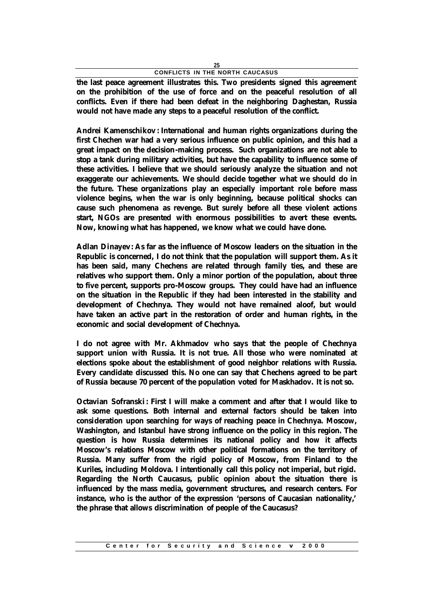**the last peace agreement illustrates this. Two presidents signed this agreement on the prohibition of the use of force and on the peaceful resolution of all conflicts. Even if there had been defeat in the neighboring Daghestan, Russia would not have made any steps to a peaceful resolution of the conflict.**

**Andrei Kamenschikov : International and human rights organizations during the first Chechen war had a very serious influence on public opinion, and this had a great impact on the decision-making process. Such organizations are not able to stop a tank during military activities, but have the capability to influence some of these activities. I believe that we should seriously analyze the situation and not exaggerate our achievements. We should decide together what we should do in the future. These organizations play an especially important role before mass violence begins, when the war is only beginning, because political shocks can cause such phenomena as revenge. But surely before all these violent actions start, NGOs are presented with enormous possibilities to avert these events. Now, knowing what has happened, we know what we could have done.**

**Adlan Dinayev: As far as the influence of Moscow leaders on the situation in the Republic is concerned, I do not think that the population will support them. As it has been said, many Chechens are related through family ties, and these are relatives who support them. Only a minor portion of the population, about three to five percent, supports pro-Moscow groups. They could have had an influence on the situation in the Republic if they had been interested in the stability and development of Chechnya. They would not have remained aloof, but would have taken an active part in the restoration of order and human rights, in the economic and social development of Chechnya.**

**I do not agree with Mr. Akhmadov who says that the people of Chechnya support union with Russia. It is not true. All those who were nominated at elections spoke about the establishment of good neighbor relations with Russia. Every candidate discussed this. No one can say that Chechens agreed to be part of Russia because 70 percent of the population voted for Maskhadov. It is not so.**

**Octavian Sofranski: First I will make a comment and after that I would like to ask some questions. Both internal and external factors should be taken into consideration upon searching for ways of reaching peace in Chechnya. Moscow, Washington, and Istanbul have strong influence on the policy in this region. The question is how Russia determines its national policy and how it affects Moscow's relations Moscow with other political formations on the territory of Russia. Many suffer from the rigid policy of Moscow, from Finland to the Kuriles, including Moldova. I intentionally call this policy not imperial, but rigid. Regarding the North Caucasus, public opinion about the situation there is influenced by the mass media, government structures, and research centers. For instance, who is the author of the expression 'persons of Caucasian nationality,' the phrase that allows discrimination of people of the Caucasus?**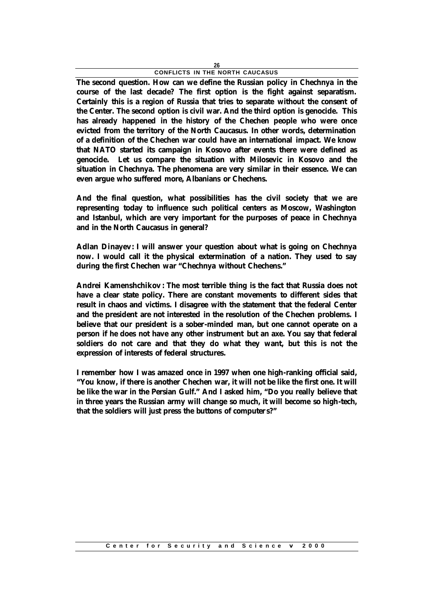**The second question. How can we define the Russian policy in Chechnya in the course of the last decade? The first option is the fight against separatism. Certainly this is a region of Russia that tries to separate without the consent of the Center. The second option is civil war. And the third option is genocide. This has already happened in the history of the Chechen people who were once evicted from the territory of the North Caucasus. In other words, determination of a definition of the Chechen war could have an international impact. We know that NATO started its campaign in Kosovo after events there were defined as genocide. Let us compare the situation with Milosevic in Kosovo and the situation in Chechnya. The phenomena are very similar in their essence. We can even argue who suffered more, Albanians or Chechens.**

**And the final question, what possibilities has the civil society that we are representing today to influence such political centers as Moscow, Washington and Istanbul, which are very important for the purposes of peace in Chechnya and in the North Caucasus in general?**

**Adlan Dinayev: I will answer your question about what is going on Chechnya now. I would call it the physical extermination of a nation. They used to say during the first Chechen war "Chechnya without Chechens."**

**Andrei Kamenshchikov : The most terrible thing is the fact that Russia does not have a clear state policy. There are constant movements to different sides that result in chaos and victims. I disagree with the statement that the federal Center and the president are not interested in the resolution of the Chechen problems. I believe that our president is a sober-minded man, but one cannot operate on a person if he does not have any other instrument but an axe. You say that federal soldiers do not care and that they do what they want, but this is not the expression of interests of federal structures.**

**I remember how I was amazed once in 1997 when one high-ranking official said, "You know, if there is another Chechen war, it will not be like the first one. It will be like the war in the Persian Gulf." And I asked him, "Do you really believe that in three years the Russian army will change so much, it will become so high-tech, that the soldiers will just press the buttons of computer s?"**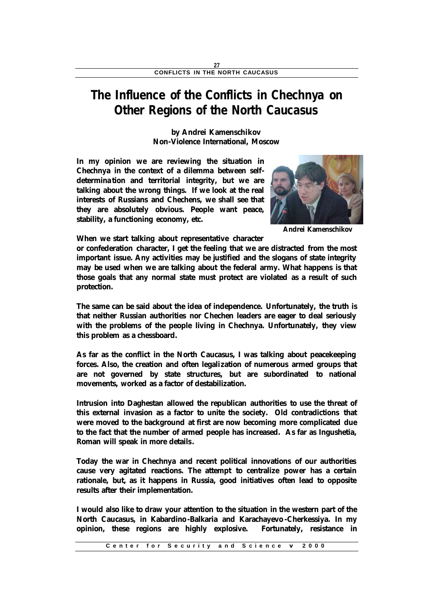## **The Influence of the Conflicts in Chechnya on Other Regions of the North Caucasus**

**by Andrei Kamenschikov Non-Violence International, Moscow**

**In my opinion we are reviewing the situation in Chechnya in the context of a dilemma between selfdetermina tion and territorial integrity, but we are talking about the wrong things. If we look at the real interests of Russians and Chechens, we shall see that they are absolutely obvious. People want peace, stability, a functioning economy, etc.**



**Andrei Kamenschikov**

**When we start talking about representative character** 

**or confederation character, I get the feeling that we are distracted from the most important issue. Any activities may be justified and the slogans of state integrity may be used when we are talking about the federal army. What happens is that those goals that any normal state must protect are violated as a result of such protection.**

**The same can be said about the idea of independence. Unfortunately, the truth is that neither Russian authorities nor Chechen leaders are eager to deal seriously with the problems of the people living in Chechnya. Unfortunately, they view this problem as a chessboard.**

**As far as the conflict in the North Caucasus, I was talking about peacekeeping forces. Also, the creation and often legalization of numerous armed groups that are not governed by state structures, but are subordinated to national movements, worked as a factor of destabilization.**

**Intrusion into Daghestan allowed the republican authorities to use the threat of this external invasion as a factor to unite the society. Old contradictions that were moved to the background at first are now becoming more complicated due to the fact that the number of armed people has increased. As far as Ingushetia, Roman will speak in more details.**

**Today the war in Chechnya and recent political innovations of our authorities cause very agitated reactions. The attempt to centralize power has a certain rationale, but, as it happens in Russia, good initiatives often lead to opposite results after their implementation.**

**I would also like to draw your attention to the situation in the western part of the North Caucasus, in Kabardino-Balkaria and Karachayevo -Cherkessiya. In my opinion, these regions are highly explosive. Fortunately, resistance in**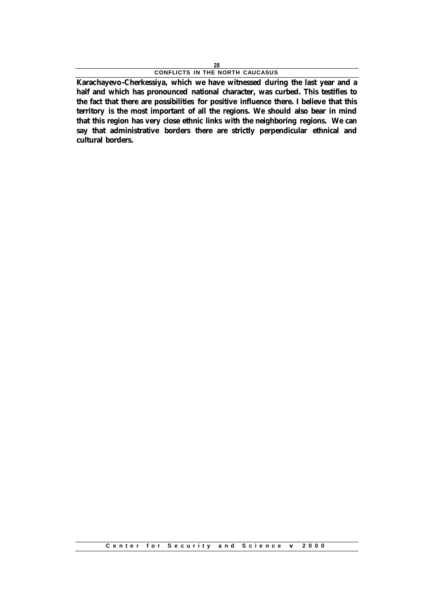**Karachayevo-Cherkessiya, which we have witnessed during the last year and a half and which has pronounced national character, was curbed. This testifies to the fact that there are possibilities for positive influence there. I believe that this territory is the most important of all the regions. We should also bear in mind that this region has very close ethnic links with the neighboring regions. We can say that administrative borders there are strictly perpendicular ethnical and cultural borders.**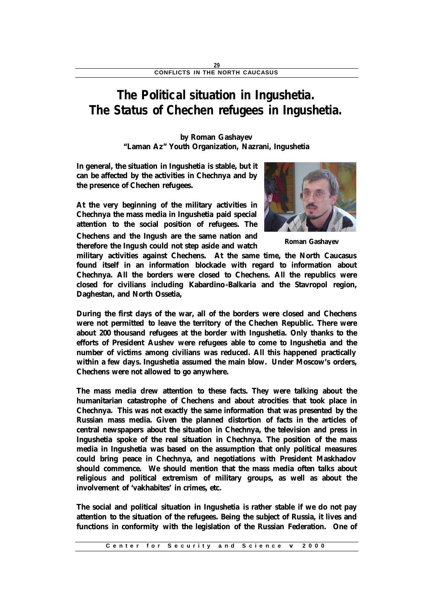## **The Political situation in Ingushetia. The Status of Chechen refugees in Ingushetia.**

**by Roman Gashayev "Laman Az" Youth Organization, Nazrani, Ingushetia**

**In general, the situation in Ingushetia is stable, but it can be affected by the activities in Chechnya and by the presence of Chechen refugees.**

**At the very beginning of the military activities in Chechnya the mass media in Ingushetia paid special attention to the social position of refugees. The Chechens and the Ingush are the same nation and therefore the Ingush could not step aside and watch** 



**Roman Gashayev**

**military activities against Chechens. At the same time, the North Caucasus found itself in an information blockade with regard to information about Chechnya. All the borders were closed to Chechens. All the republics were closed for civilians including Kabardino-Balkaria and the Stavropol region, Daghestan, and North Ossetia,**

**During the first days of the war, all of the borders were closed and Chechens were not permitted to leave the territory of the Chechen Republic. There were about 200 thousand refugees at the border with Ingushetia. Only thanks to the efforts of President Aushev were refugees able to come to Ingushetia and the number of victims among civilians was reduced. All this happened practically within a few days. Ingushetia assumed the main blow. Under Moscow's orders, Chechens were not allowed to go anywhere.**

**The mass media drew attention to these facts. They were talking about the humanitarian catastrophe of Chechens and about atrocities that took place in Chechnya. This was not exactly the same information that was presented by the Russian mass media. Given the planned distortion of facts in the articles of central newspapers about the situation in Chechnya, the television and press in Ingushetia spoke of the real situation in Chechnya. The position of the mass media in Ingushetia was based on the assumption that only political measures could bring peace in Chechnya, and negotiations with President Maskhadov should commence. We should mention that the mass media often talks about religious and political extremism of military groups, as well as about the involvement of 'vakhabites' in crimes, etc.**

**The social and political situation in Ingushetia is rather stable if we do not pay attention to the situation of the refugees. Being the subject of Russia, it lives and functions in conformity with the legislation of the Russian Federation. One of**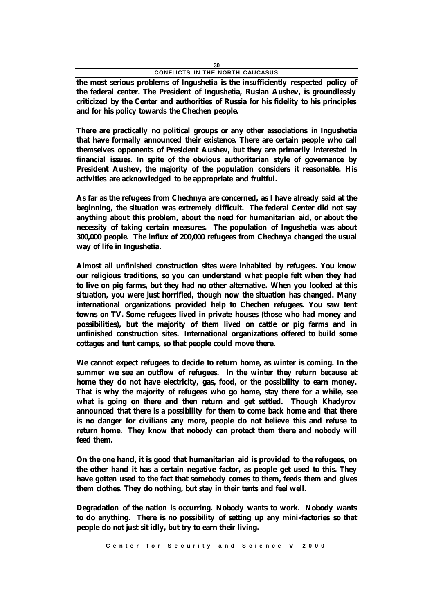**the most serious problems of Ingushetia is the insufficiently respected policy of the federal center. The President of Ingushetia, Ruslan Aushev, is groundlessly criticized by the Center and authorities of Russia for his fidelity to his principles and for his policy towards the Chechen people.**

**There are practically no political groups or any other associations in Ingushetia that have formally announced their existence. There are certain people who call themselves opponents of President Aushev, but they are primarily interested in financial issues. In spite of the obvious authoritarian style of governance by President Aushev, the majority of the population considers it reasonable. His activities are acknowledged to be appropriate and fruitful.**

**As far as the refugees from Chechnya are concerned, as I have already said at the beginning, the situation was extremely difficult. The federal Center did not say anything about this problem, about the need for humanitarian aid, or about the necessity of taking certain measures. The population of Ingushetia was about 300,000 people. The influx of 200,000 refugees from Chechnya changed the usual way of life in Ingushetia.**

**Almost all unfinished construction sites were inhabited by refugees. You know our religious traditions, so you can understand what people felt when they had to live on pig farms, but they had no other alternative. When you looked at this situation, you were just horrified, though now the situation has changed. Many international organizations provided help to Chechen refugees. You saw tent towns on TV. Some refugees lived in private houses (those who had money and possibilities), but the majority of them lived on cattle or pig farms and in unfinished construction sites. International organizations offered to build some cottages and tent camps, so that people could move there.**

**We cannot expect refugees to decide to return home, as winter is coming. In the summer we see an outflow of refugees. In the winter they return because at home they do not have electricity, gas, food, or the possibility to earn money. That is why the majority of refugees who go home, stay there for a while, see what is going on there and then return and get settled. Though Khadyrov announced that there is a possibility for them to come back home and that there is no danger for civilians any more, people do not believe this and refuse to return home. They know that nobody can protect them there and nobody will feed them.**

**On the one hand, it is good that humanitarian aid is provided to the refugees, on the other hand it has a certain negative factor, as people get used to this. They have gotten used to the fact that somebody comes to them, feeds them and gives them clothes. They do nothing, but stay in their tents and feel well.**

**Degradation of the nation is occurring. Nobody wants to work. Nobody wants to do anything. There is no possibility of setting up any mini-factories so that people do not just sit idly, but try to earn their living.**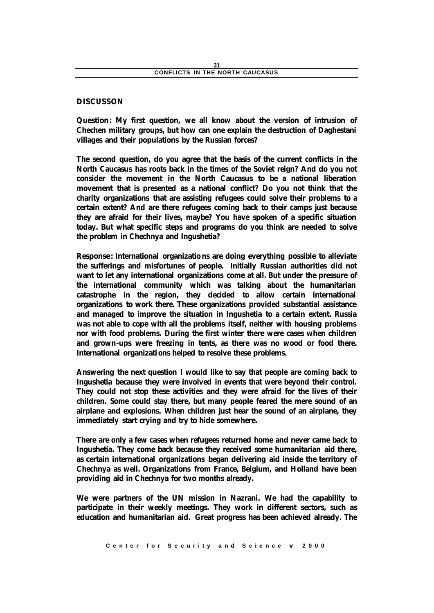### **DISCUSSON**

**Question: My first question, we all know about the version of intrusion of Chechen military groups, but how can one explain the destruction of Daghestani villages and their populations by the Russian forces?**

**The second question, do you agree that the basis of the current conflicts in the North Caucasus has roots back in the times of the Soviet reign? And do you not consider the movement in the North Caucasus to be a national liberation movement that is presented as a national conflict? Do you not think that the charity organizations that are assisting refugees could solve their problems to a certain extent? And are there refugees coming back to their camps just because they are afraid for their lives, maybe? You have spoken of a specific situation today. But what specific steps and programs do you think are needed to solve the problem in Chechnya and Ingushetia?**

**Response: International organizatio ns are doing everything possible to alleviate the sufferings and misfortunes of people. Initially Russian authorities did not want to let any international organizations come at all. But under the pressure of the international community which was talking about the humanitarian catastrophe in the region, they decided to allow certain international organizations to work there. These organizations provided substantial assistance and managed to improve the situation in Ingushetia to a certain extent. Russia was not able to cope with all the problems itself, neither with housing problems nor with food problems. During the first winter there were cases when children and grown-ups were freezing in tents, as there was no wood or food there. International organizations helped to resolve these problems.**

**Answering the next question I would like to say that people are coming back to Ingushetia because they were involved in events that were beyond their control. They could not stop these activities and they were afraid for the lives of their children. Some could stay there, but many people feared the mere sound of an airplane and explosions. When children just hear the sound of an airplane, they immediately start crying and try to hide somewhere.**

**There are only a few cases when refugees returned home and never came back to Ingushetia. They come back because they received some humanitarian aid there, as certain international organizations began delivering aid inside the territory of Chechnya as well. Organizations from France, Belgium, and Holland have been providing aid in Chechnya for two months already.**

**We were partners of the UN mission in Nazrani. We had the capability to participate in their weekly meetings. They work in different sectors, such as education and humanitarian aid. Great progress has been achieved already. The**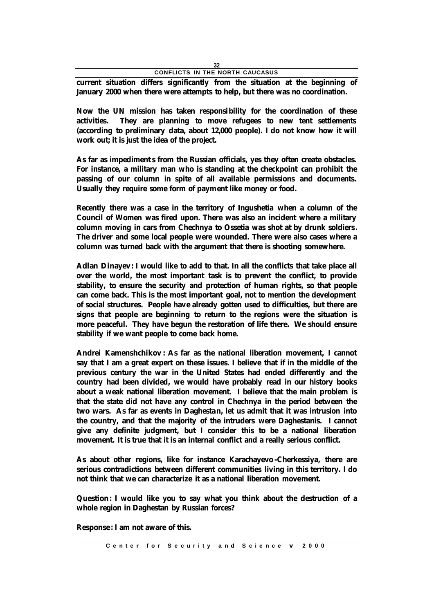**current situation differs significantly from the situation at the beginning of January 2000 when there were attempts to help, but there was no coordination.**

**Now the UN mission has taken responsibility for the coordination of these activities. They are planning to move refugees to new tent settlements (according to preliminary data, about 12,000 people). I do not know how it will work out; it is just the idea of the project.**

**As far as impediment s from the Russian officials, yes they often create obstacles. For instance, a military man who is standing at the checkpoint can prohibit the passing of our column in spite of all available permissions and documents. Usually they require some form of payment like money or food.**

**Recently there was a case in the territory of Ingushetia when a column of the Council of Women was fired upon. There was also an incident where a military column moving in cars from Chechnya to Ossetia was shot at by drunk soldiers. The driver and some local people were wounded. There were also cases where a column was turned back with the argument that there is shooting somewhere.**

**Adlan Dinayev: I would like to add to that. In all the conflicts that take place all over the world, the most important task is to prevent the conflict, to provide stability, to ensure the security and protection of human rights, so that people can come back. This is the most important goal, not to mention the development of social structures. People have already gotten used to difficulties, but there are signs that people are beginning to return to the regions were the situation is more peaceful. They have begun the restoration of life there. We should ensure stability if we want people to come back home.**

**Andrei Kamenshchikov : As far as the national liberation movement, I cannot say that I am a great expert on these issues. I believe that if in the middle of the previous century the war in the United States had ended differently and the country had been divided, we would have probably read in our history books about a weak national liberation movement. I believe that the main problem is that the state did not have any control in Chechnya in the period between the two wars. As far as events in Daghestan, let us admit that it was intrusion into the country, and that the majority of the intruders were Daghestanis. I cannot give any definite judgment, but I consider this to be a national liberation movement. It is true that it is an internal conflict and a really serious conflict.**

**As about other regions, like for instance Karachayevo -Cherkessiya, there are serious contradictions between different communities living in this territory. I do not think that we can characterize it as a national liberation movement.**

**Question: I would like you to say what you think about the destruction of a whole region in Daghestan by Russian forces?**

**Response: I am not aware of this.**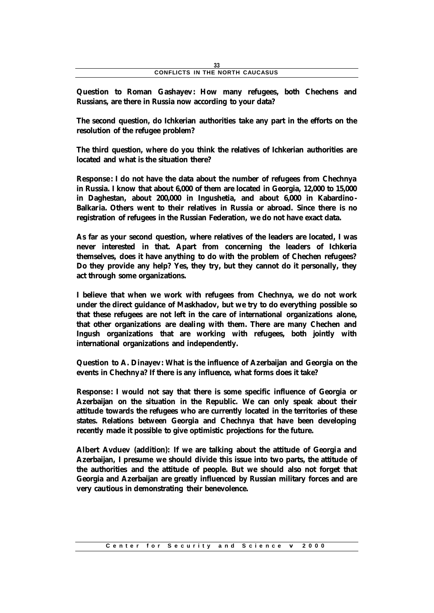**Question to Roman Gashayev: How many refugees, both Chechens and Russians, are there in Russia now according to your data?**

**The second question, do Ichkerian authorities take any part in the efforts on the resolution of the refugee problem?**

**The third question, where do you think the relatives of Ichkerian authorities are located and what is the situation there?**

**Response: I do not have the data about the number of refugees from Chechnya in Russia. I know that about 6,000 of them are located in Georgia, 12,000 to 15,000 in Daghestan, about 200,000 in Ingushetia, and about 6,000 in Kabardino - Balkaria. Others went to their relatives in Russia or abroad. Since there is no registration of refugees in the Russian Federation, we do not have exact data.**

**As far as your second question, where relatives of the leaders are located, I was never interested in that. Apart from concerning the leaders of Ichkeria themselves, does it have anything to do with the problem of Chechen refugees? Do they provide any help? Yes, they try, but they cannot do it personally, they act through some organizations.**

**I believe that when we work with refugees from Chechnya, we do not work under the direct guidance of Maskhadov, but we try to do everything possible so that these refugees are not left in the care of international organizations alone, that other organizations are dealing with them. There are many Chechen and Ingush organizations that are working with refugees, both jointly with international organizations and independently.**

**Question to A. Dinayev: What is the influence of Azerbaijan and Georgia on the events in Chechnya? If there is any influence, what forms does it take?**

**Response: I would not say that there is some specific influence of Georgia or Azerbaijan on the situation in the Republic. We can only speak about their attitude towards the refugees who are currently located in the territories of these states. Relations between Georgia and Chechnya that have been developing recently made it possible to give optimistic projections for the future.**

**Albert Avduev (addition): If we are talking about the attitude of Georgia and Azerbaijan, I presume we should divide this issue into two parts, the attitude of the authorities and the attitude of people. But we should also not forget that Georgia and Azerbaijan are greatly influenced by Russian military forces and are very cautious in demonstrating their benevolence.**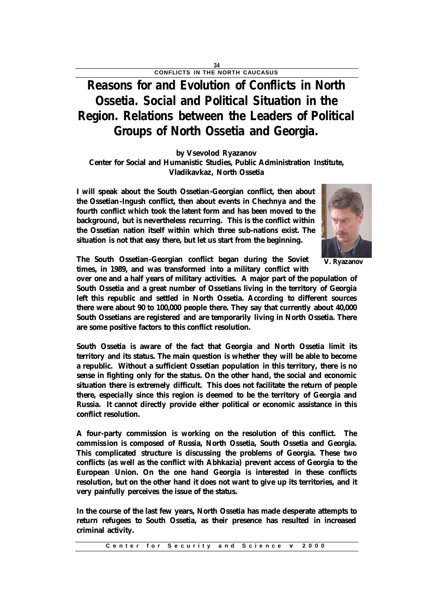## **Reasons for and Evolution of Conflicts in North Ossetia. Social and Political Situation in the Region. Relations between the Leaders of Political Groups of North Ossetia and Georgia.**

### **by Vsevolod Ryazanov Center for Social and Humanistic Studies, Public Administration Institute, Vladikavkaz, North Ossetia**

**I will speak about the South Ossetian-Georgian conflict, then about the Ossetian-Ingush conflict, then about events in Chechnya and the fourth conflict which took the latent form and has been moved to the background, but is nevertheless recurring. This is the conflict within the Ossetian nation itself within which three sub-nations exist. The situation is not that easy there, but let us start from the beginning.**



**V. Ryazanov**

**The South Ossetian-Georgian conflict began during the Soviet times, in 1989, and was transformed into a military conflict with** 

**over one and a half years of military activities. A major part of the population of South Ossetia and a great number of Ossetians living in the territory of Georgia left this republic and settled in North Ossetia. According to different sources there were about 90 to 100,000 people there. They say that currently about 40,000 South Ossetians are registered and are temporarily living in North Ossetia. There are some positive factors to this conflict resolution.**

**South Ossetia is aware of the fact that Georgia and North Ossetia limit its territory and its status. The main question is whether they will be able to become a republic. Without a sufficient Ossetian population in this territory, there is no sense in fighting only for the status. On the other hand, the social and economic situation there is extremely difficult. This does not facilitate the return of people there, especially since this region is deemed to be the territory of Georgia and Russia. It cannot directly provide either political or economic assistance in this conflict resolution.**

**A four-party commission is working on the resolution of this conflict. The commiss ion is composed of Russia, North Ossetia, South Ossetia and Georgia. This complicated structure is discussing the problems of Georgia. These two conflicts (as well as the conflict with Abhkazia) prevent access of Georgia to the European Union. On the one hand Georgia is interested in these conflicts resolution, but on the other hand it does not want to give up its territories, and it very painfully perceives the issue of the status.**

**In the course of the last few years, North Ossetia has made desperate attempts to return refugees to South Ossetia, as their presence has resulted in increased criminal activity.**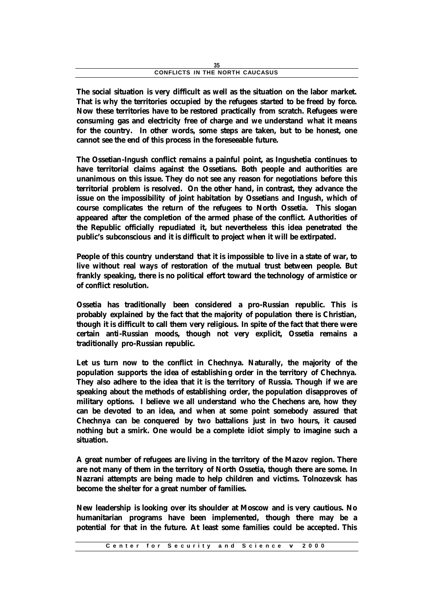| CONFLICTS IN THE NORTH CAUCASUS |  |
|---------------------------------|--|

**The social situation is very difficult as well as the situation on the labor market. That is why the territories occupied by the refugees started to be freed by force. Now these territories have to be restored practically from scratch. Refugees were consuming gas and electricity free of charge and we understand what it means for the country. In other words, some steps are taken, but to be honest, one cannot see the end of this process in the foreseeable future.**

**The Ossetian-Ingush conflict remains a painful point, as Ingushetia continues to have territorial claims against the Ossetians. Both people and authorities are unanimous on this issue. They do not see any reason for negotiations before this territorial problem is resolved. On the other hand, in contrast, they advance the issue on the impossibility of joint habitation by Ossetians and Ingush, which of course complicates the return of the refugees to North Ossetia. This slogan appeared after the completion of the armed phase of the conflict. Authorities of the Republic officially repudiated it, but nevertheless this idea penetrated the public's subconscious and it is difficult to project when it will be extirpated.**

**People of this country understand that it is impossible to live in a state of war, to live without real ways of restoration of the mutual trust between people. But frankly speaking, there is no political effort toward the technology of armistice or of conflict resolution.**

**Ossetia has traditionally been considered a pro-Russian republic. This is probably explained by the fact that the majority of population there is Christian, though it is difficult to call them very religious. In spite of the fact that there were certain anti-Russian moods, though not very explicit, Ossetia remains a traditionally pro-Russian republic.**

**Let us turn now to the conflict in Chechnya. Naturally, the majority of the population supports the idea of establishing order in the territory of Chechnya. They also adhere to the idea that it is the territory of Russia. Though if we are speaking about the methods of establishing order, the population disapproves of military options. I believe we all understand who the Chechens are, how they can be devoted to an idea, and when at some point somebody assured that Chechnya can be conquered by two battalions just in two hours, it caused nothing but a smirk. One would be a complete idiot simply to imagine such a situation.**

**A great number of refugees are living in the territory of the Mazov region. There are not many of them in the territory of North Ossetia, though there are some. In Nazrani attempts are being made to help children and victims. Tolnozevsk has become the shelter for a great number of families.**

**New leadership is looking over its shoulder at Moscow and is very cautious. No humanitarian programs have been implemented, though there may be a potential for that in the future. At least some families could be accepted. This**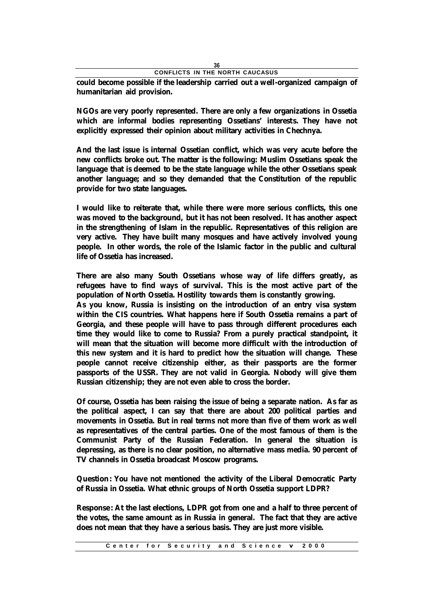**could become possible if the leadership carried out a well-organized campaign of humanitarian aid provision.**

**NGOs are very poorly represented. There are only a few organizations in Ossetia which are informal bodies representing Ossetians' interests. They have not explicitly expressed their opinion about military activities in Chechnya.**

**And the last issue is internal Ossetian conflict, which was very acute before the new conflicts broke out. The matter is the following: Muslim Ossetians speak the language that is deemed to be the state language while the other Ossetians speak another language; and so they demanded that the Constitution of the republic provide for two state languages.**

**I would like to reiterate that, while there were more serious conflicts, this one was moved to the background, but it has not been resolved. It has another aspect in the strengthening of Islam in the republic. Representatives of this religion are very active. They have built many mosques and have actively involved young people. In other words, the role of the Islamic factor in the public and cultural life of Ossetia has increased.**

**There are also many South Ossetians whose way of life differs greatly, as refugees have to find ways of survival. This is the most active part of the population of North Ossetia. Hostility towards them is constantly growing.**

**As you know, Russia is insisting on the introduction of an entry visa system within the CIS countries. What happens here if South Ossetia remains a part of Georgia, and these people will have to pass through different procedures each time they would like to come to Russia? From a purely practical standpoint, it will mean that the situation will become more difficult with the introduction of this new system and it is hard to predict how the situation will change. These people cannot receive citizenship either, as their passports are the former passports of the USSR. They are not valid in Georgia. Nobody will give them Russian citizenship; they are not even able to cross the border.**

**Of course, Ossetia has been raising the issue of being a separate nation. As far as the political aspect, I can say that there are about 200 political parties and movements in Ossetia. But in real terms not more than five of them work as well as representatives of the central parties. One of the most famous of them is the Communist Party of the Russian Federation. In general the situation is depressing, as there is no clear position, no alternative mass media. 90 percent of TV channels in Ossetia broadcast Moscow programs.**

**Question: You have not mentioned the activity of the Liberal Democratic Party of Russia in Ossetia. What ethnic groups of North Ossetia support LDPR?**

**Response: At the last elections, LDPR got from one and a half to three percent of the votes, the same amount as in Russia in general. The fact that they are active does not mean that they have a serious basis. They are just more visible.**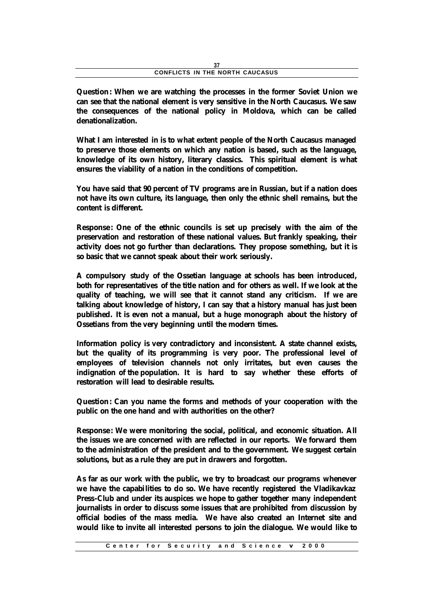**Question: When we are watching the processes in the former Soviet Union we can see that the national element is very sensitive in the North Caucasus. We saw the consequences of the national policy in Moldova, which can be called denationalization.**

**What I am interested in is to what extent people of the North Caucasus managed to preserve those elements on which any nation is based, such as the language, knowledge of its own history, literary classics. This spiritual element is what ensures the viability of a nation in the conditions of competition.**

**You have said that 90 percent of TV programs are in Russian, but if a nation does not have its own culture, its language, then only the ethnic shell remains, but the content is different.**

**Response: One of the ethnic councils is set up precisely with the aim of the preservation and restoration of these national values. But frankly speaking, their activity does not go further than declarations. They propose something, but it is so basic that we cannot speak about their work seriously.**

**A compulsory study of the Ossetian language at schools has been introduced, both for representatives of the title nation and for others as well. If we look at the quality of teaching, we will see that it cannot stand any criticism. If we are talking about knowledge of history, I can say that a history manual has just been published. It is even not a manual, but a huge monograph about the history of Ossetians from the very beginning until the modern times.**

**Information policy is very contradictory and inconsistent. A state channel exists, but the quality of its programming is very poor. The professional level of employees of television channels not only irritates, but even causes the indignation of the population. It is hard to say whether these efforts of restoration will lead to desirable results.**

**Question: Can you name the forms and methods of your cooperation with the public on the one hand and with authorities on the other?**

**Response: We were monitoring the social, political, and economic situation. All the issues we are concerned with are reflected in our reports. We forward them to the administration of the president and to the government. We suggest certain solutions, but as a rule they are put in drawers and forgotten.**

**As far as our work with the public, we try to broadcast our programs whenever we have the capabilities to do so. We have recently registered the Vladikavkaz Press-Club and under its auspices we hope to gather together many independent journalists in order to discuss some issues that are prohibited from discussion by official bodies of the mass media. We have also created an Internet site and would like to invite all interested persons to join the dialogue. We would like to**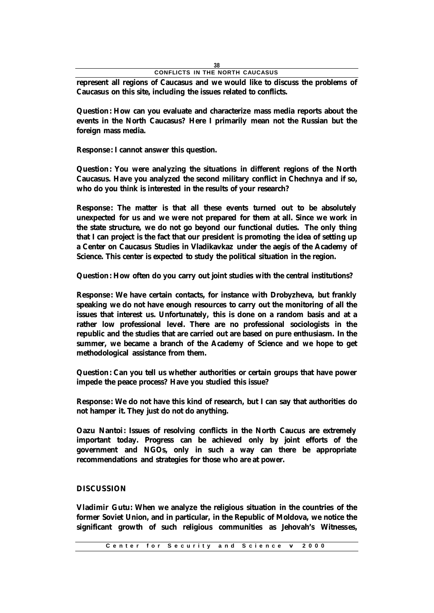**represent all regions of Caucasus and we would like to discuss the problems of Caucasus on this site, including the issues related to conflicts.**

**Question: How can you evaluate and characterize mass media reports about the events in the North Caucasus? Here I primarily mean not the Russian but the foreign mass media.**

**Response: I cannot answer this question.**

**Question: You were analyzing the situations in different regions of the North Caucasus. Have you analyzed the second military conflict in Chechnya and if so, who do you think is interested in the results of your research?**

**Response: The matter is that all these events turned out to be absolutely unexpected for us and we were not prepared for them at all. Since we work in the state structure, we do not go beyond our functional duties. The only thing that I can project is the fact that our president is promoting the idea of setting up a Center on Caucasus Studies in Vladikavkaz under the aegis of the Academy of Science. This center is expected to study the political situation in the region.**

**Question: How often do you carry out joint studies with the central institutions?**

**Response: We have certain contacts, for instance with Drobyzheva, but frankly speaking we do not have enough resources to carry out the monitoring of all the issues that interest us. Unfortunately, this is done on a random basis and at a rather low professional level. There are no professional sociologists in the republic and the studies that are carried out are based on pure enthusiasm. In the summer, we became a branch of the Academy of Science and we hope to get methodological assistance from them.**

**Question: Can you tell us whether authorities or certain groups that have power impede the peace process? Have you studied this issue?**

**Response: We do not have this kind of research, but I can say that authorities do not hamper it. They just do not do anything.**

**Oazu Nantoi: Issues of resolving conflicts in the North Caucus are extremely important today. Progress can be achieved only by joint efforts of the government and NGOs, only in such a way can there be appropriate recommendations and strategies for those who are at power.**

#### **DISCUSSION**

**Vladimir Gutu: When we analyze the religious situation in the countries of the former Soviet Union, and in particular, in the Republic of Moldova, we notice the significant growth of such religious communities as Jehovah's Witnesses,**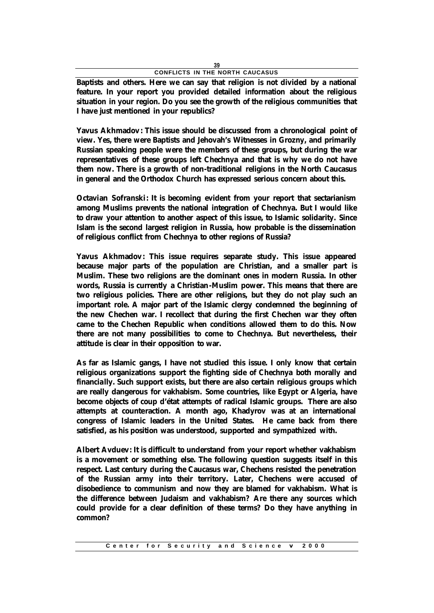**Baptists and others. Here we can say that religion is not divided by a national feature. In your report you provided detailed information about the religious situation in your region. Do you see the growth of the religious communities that I have just mentioned in your republics?**

**Yavus Akhmadov: This issue should be discussed from a chronological point of view. Yes, there were Baptists and Jehovah's Witnesses in Grozny, and primarily Russian speaking people were the members of these groups, but during the war representatives of these groups left Chechnya and that is why we do not have them now. There is a growth of non-traditional religions in the North Caucasus in general and the Orthodox Church has expressed serious concern about this.**

**Octavian Sofranski: It is becoming evident from your report that sectarianism among Muslims prevents the national integration of Chechnya. But I would like to draw your attention to another aspect of this issue, to Islamic solidarity. Since Islam is the second largest religion in Russia, how probable is the dissemination of religious conflict from Chechnya to other regions of Russia?**

**Yavus Akhmadov: This issue requires separate study. This issue appeared because major parts of the population are Christian, and a smaller part is Muslim. These two religions are the dominant ones in modern Russia. In other words, Russia is currently a Christian-Muslim power. This means that there are two religious policies. There are other religions, but they do not play such an important role. A major part of the Islamic clergy condemned the beginning of the new Chechen war. I recollect that during the first Chechen war they often came to the Chechen Republic when conditions allowed them to do this. Now there are not many possibilities to come to Chechnya. But nevertheless, their attitude is clear in their opposition to war.**

**As far as Islamic gangs, I have not studied this issue. I only know that certain religious organizations support the fighting side of Chechnya both morally and financially. Such support exists, but there are also certain religious groups which are really dangerous for vakhabism. Some countries, like Egypt or Algeria, have become objects of coup d'état attempts of radical Islamic groups. There are also attempts at counteraction. A month ago, Khadyrov was at an international congress of Islamic leaders in the United States. He came back from there satisfied, as his position was understood, supported and sympathized with.**

**Albert Avduev: It is difficult to understand from your report whether vakhabism is a movement or something else. The following question suggests itself in this respect. Last century during the Caucasus war, Chechens resisted the penetration of the Russian army into their territory. Later, Chechens were accused of disobedience to communism and now they are blamed for vakhabism. What is the difference between Judaism and vakhabism? Are there any sources which could provide for a clear definition of these terms? Do they have anything in common?**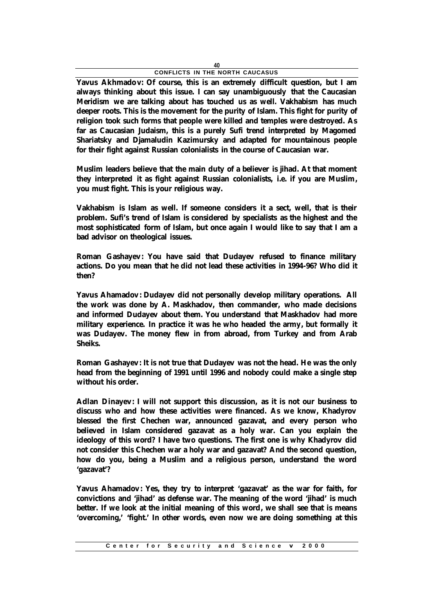**Yavus Akhmadov: Of course, this is an extremely difficult question, but I am always thinking about this issue. I can say unambiguously that the Caucasian Meridism we are talking about has touched us as well. Vakhabism has much deeper roots. This is the movement for the purity of Islam. This fight for purity of religion took such forms that people were killed and temples were destroyed. As far as Caucasian Judaism, this is a purely Sufi trend interpreted by Magomed Shariatsky and Djamaludin Kazimursky and adapted for mountainous people for their fight against Russian colonialists in the course of Caucasian war.**

**Muslim leaders believe that the main duty of a believer is jihad. At that moment they interpreted it as fight against Russian colonialists, i.e. if you are Muslim, you must fight. This is your religious way.**

**Vakhabism is Islam as well. If someone considers it a sect, well, that is their problem. Sufi's trend of Islam is considered by specialists as the highest and the most sophisticated form of Islam, but once again I would like to say that I am a bad advisor on theological issues.**

**Roman Gashayev: You have said that Dudayev refused to finance military actions. Do you mean that he did not lead these activities in 1994-96? Who did it then?**

**Yavus Ahamadov: Dudayev did not personally develop military operations. All the work was done by A. Maskhadov, then commander, who made decisions and informed Dudayev about them. You understand that Maskhadov had more military experience. In practice it was he who headed the army, but formally it was Dudayev. The money flew in from abroad, from Turkey and from Arab Sheiks.**

**Roman Gashayev: It is not true that Dudayev was not the head. He was the only head from the beginning of 1991 until 1996 and nobody could make a single step without his order.**

**Adlan Dinayev: I will not support this discussion, as it is not our business to discuss who and how these activities were financed. As we know, Khadyrov blessed the first Chechen war, announced gazavat, and every person who believed in Islam considered gazavat as a holy war. Can you explain the ideology of this word? I have two questions. The first one is why Khadyrov did not consider this Chechen war a holy war and gazavat? And the second question, how do you, being a Muslim and a religious person, understand the word 'gazavat'?**

**Yavus Ahamadov: Yes, they try to interpret 'gazavat' as the war for faith, for convictions and 'jihad' as defense war. The meaning of the word 'jihad' is much better. If we look at the initial meaning of this word, we shall see that is means 'overcoming,' 'fight.' In other words, even now we are doing something at this**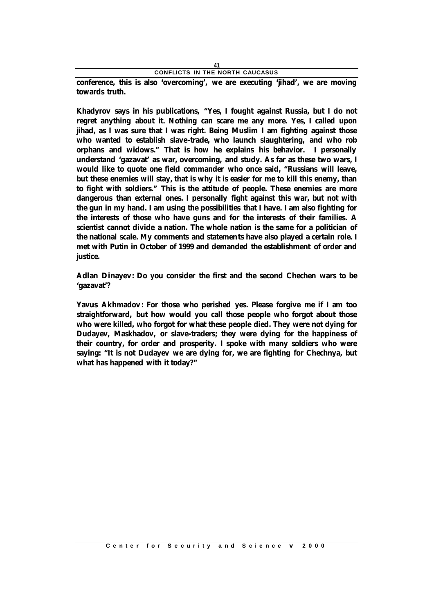**conference, this is also 'overcoming', we are executing 'jihad', we are moving towards truth.**

**Khadyrov says in his publications, "Yes, I fought against Russia, but I do not regret anything about it. Nothing can scare me any more. Yes, I called upon jihad, as I was sure that I was right. Being Muslim I am fighting against those who wanted to establish slave-trade, who launch slaughtering, and who rob orphans and widows." That is how he explains his behavior. I personally understand 'gazavat' as war, overcoming, and study. As far as these two wars, I would like to quote one field commander who once said, "Russians will leave, but these enemies will stay, that is why it is easier for me to kill this enemy, than to fight with soldiers." This is the attitude of people. These enemies are more dangerous than external ones. I personally fight against this war, but not with the gun in my hand. I am using the possibilities that I have. I am also fighting for the interests of those who have guns and for the interests of their families. A scientist cannot divide a nation. The whole nation is the same for a politician of the national scale. My comments and statements have also played a certain role. I met with Putin in October of 1999 and demanded the establishment of order and justice.**

**Adlan Dinayev: Do you consider the first and the second Chechen wars to be 'gazavat'?**

**Yavus Akhmadov: For those who perished yes. Please forgive me if I am too straightforward, but how would you call those people who forgot about those who were killed, who forgot for what these people died. They were not dying for Dudayev, Maskhadov, or slave-traders; they were dying for the happiness of their country, for order and prosperity. I spoke with many soldiers who were saying: "It is not Dudayev we are dying for, we are fighting for Chechnya, but what has happened with it today?"**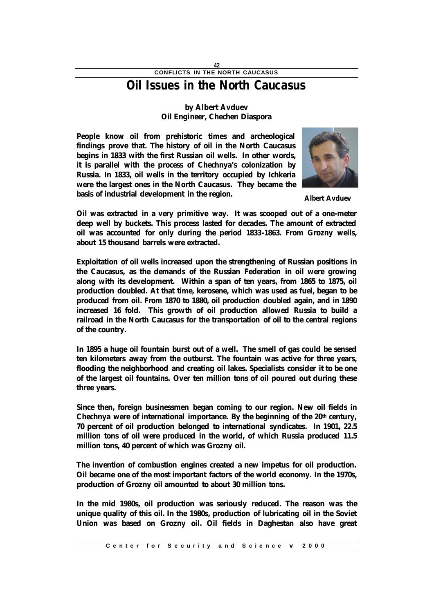## **Oil Issues in the North Caucasus**

### **by Albert Avduev Oil Engineer, Chechen Diaspora**

**People know oil from prehistoric times and archeological findings prove that. The history of oil in the North Caucasus begins in 1833 with the first Russian oil wells. In other words, it is parallel with the process of Chechnya's colonization by Russia. In 1833, oil wells in the territory occupied by Ichkeria were the largest ones in the North Caucasus. They became the basis of industrial development in the region.**



**Albert Avduev**

**Oil was extracted in a very primitive way. It was scooped out of a one-meter deep well by buckets. This process lasted for decades. The amount of extracted oil was accounted for only during the period 1833-1863. From Grozny wells, about 15 thousand barrels were extracted.**

**Exploitation of oil wells increased upon the strengthening of Russian positions in the Caucasus, as the demands of the Russian Federation in oil were growing along with its development. Within a span of ten years, from 1865 to 1875, oil production doubled. At that time, kerosene, which was used as fuel, began to be produced from oil. From 1870 to 1880, oil production doubled again, and in 1890 increased 16 fold. This growth of oil production allowed Russia to build a railroad in the North Caucasus for the transportation of oil to the central regions of the country.**

**In 1895 a huge oil fountain burst out of a well. The smell of gas could be sensed ten kilometers away from the outburst. The fountain was active for three years, flooding the neighborhood and creating oil lakes. Specialists consider it to be one of the largest oil fountains. Over ten million tons of oil poured out during these three years.**

**Since then, foreign businessmen began coming to our region. New oil fields in Chechnya were of international importance. By the beginning of the 20th century, 70 percent of oil production belonged to international syndicates. In 1901, 22.5 million tons of oil were produced in the world, of which Russia produced 11.5 million tons, 40 percent of which was Grozny oil.**

**The invention of combustion engines created a new impetus for oil production. Oil became one of the most important factors of the world economy. In the 1970s, production of Grozny oil amounted to about 30 million tons.**

**In the mid 1980s, oil production was seriously reduced. The reason was the unique quality of this oil. In the 1980s, production of lubricating oil in the Soviet Union was based on Grozny oil. Oil fields in Daghestan also have great**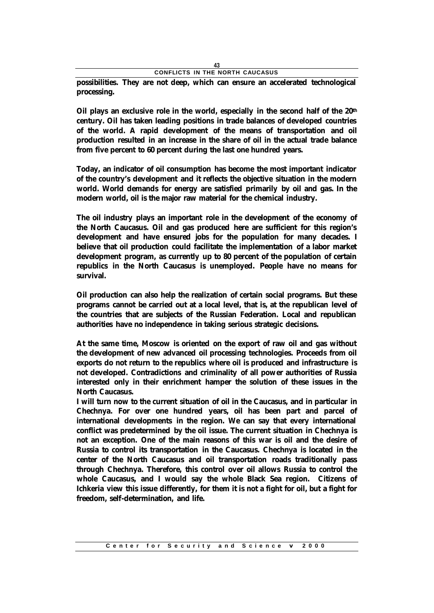|  |  |  |  | CONFLICTS IN THE NORTH CAUCASUS |  |  |
|--|--|--|--|---------------------------------|--|--|

**possibilities. They are not deep, which can ensure an accelerated technological processing.**

**Oil plays an exclusive role in the world, especially in the second half of the 20th century. Oil has taken leading positions in trade balances of developed countries of the world. A rapid development of the means of transportation and oil production resulted in an increase in the share of oil in the actual trade balance from five percent to 60 percent during the last one hundred years.**

**Today, an indicator of oil consumption has become the most important indicator of the country's development and it reflects the objective situation in the modern world. World demands for energy are satisfied primarily by oil and gas. In the modern world, oil is the major raw material for the chemical industry.**

**The oil industry plays an important role in the development of the economy of the North Caucasus. Oil and gas produced here are sufficient for this region's development and have ensured jobs for the population for many decades. I believe that oil production could facilitate the implementation of a labor market development program, as currently up to 80 percent of the population of certain republics in the North Caucasus is unemployed. People have no means for survival.**

**Oil production can also help the realization of certain social programs. But these programs cannot be carried out at a local level, that is, at the republican level of the countries that are subjects of the Russian Federation. Local and republican authorities have no independence in taking serious strategic decisions.**

**At the same time, Moscow is oriented on the export of raw oil and gas without the development of new advanced oil processing technologies. Proceeds from oil exports do not return to the republics where oil is produced and infrastructure is not developed. Contradictions and criminality of all power authorities of Russia interested only in their enrichment hamper the solution of these issues in the North Caucasus.**

**I will turn now to the current situation of oil in the Caucasus, and in particular in Chechnya. For over one hundred years, oil has been part and parcel of international developments in the region. We can say that every international conflict was predetermined by the oil issue. The current situation in Chechnya is not an exception. One of the main reasons of this war is oil and the desire of Russia to control its transportation in the Caucasus. Chechnya is located in the center of the North Caucasus and oil transportation roads traditionally pass through Chechnya. Therefore, this control over oil allows Russia to control the whole Caucasus, and I would say the whole Black Sea region. Citizens of Ichkeria view this issue differently, for them it is not a fight for oil, but a fight for freedom, self-determination, and life.**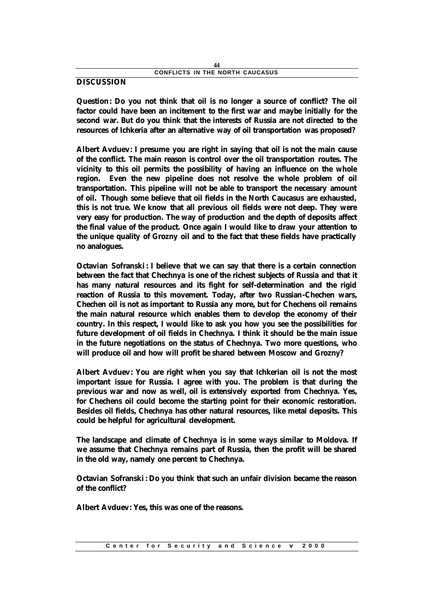### **DISCUSSION**

**Question: Do you not think that oil is no longer a source of conflict? The oil factor could have been an incitement to the first war and maybe initially for the second war. But do you think that the interests of Russia are not directed to the resources of Ichkeria after an alternative way of oil transportation was proposed?**

**Albert Avduev: I presume you are right in saying that oil is not the main cause of the conflict. The main reason is control over the oil transportation routes. The vicinity to this oil permits the possibility of having an influence on the whole region. Even the new pipeline does not resolve the whole problem of oil transportation. This pipeline will not be able to transport the necessary amount of oil. Though some believe that oil fields in the North Caucasus are exhausted, this is not true. We know that all previous oil fields were not deep. They were very easy for production. The way of production and the depth of deposits affect the final value of the product. Once again I would like to draw your attention to the unique quality of Grozny oil and to the fact that these fields have practically no analogues.**

**Octavian Sofranski: I believe that we can say that there is a certain connection between the fact that Chechnya is one of the richest subjects of Russia and that it has many natural resources and its fight for self-determination and the rigid reaction of Russia to this movement. Today, after two Russian-Chechen wars, Chechen oil is not as important to Russia any more, but for Chechens oil remains the main natural resource which enables them to develop the economy of their country. In this respect, I would like to ask you how you see the possibilities for future development of oil fields in Chechnya. I think it should be the main issue in the future negotiations on the status of Chechnya. Two more questions, who will produce oil and how will profit be shared between Moscow and Grozny?**

**Albert Avduev: You are right when you say that Ichkerian oil is not the most important issue for Russia. I agree with you. The problem is that during the previous war and now as well, oil is extensively exported from Chechnya. Yes, for Chechens oil could become the starting point for their economic restoration. Besides oil fields, Chechnya has other natural resources, like metal deposits. This could be helpful for agricultural development.**

**The landscape and climate of Chechnya is in some ways similar to Moldova. If we assume that Chechnya remains part of Russia, then the profit will be shared in the old way, namely one percent to Chechnya.**

**Octavian Sofranski: Do you think that such an unfair division became the reason of the conflict?**

**Albert Avduev: Yes, this was one of the reasons.**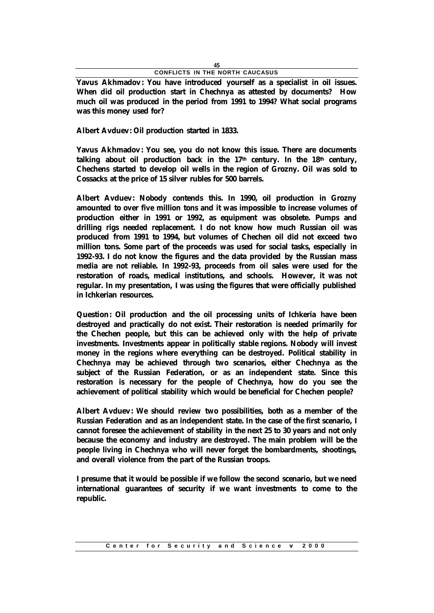**Yavus Akhmadov: You have introduced yourself as a specialist in oil issues. When did oil production start in Chechnya as attested by documents? How much oil was produced in the period from 1991 to 1994? What social programs was this money used for?**

**Albert Avduev: Oil production started in 1833.**

**Yavus Akhmadov: You see, you do not know this issue. There are documents talking about oil production back in the 17th century. In the 18th century, Chechens started to develop oil wells in the region of Grozny. Oil was sold to Cossacks at the price of 15 silver rubles for 500 barrels.**

**Albert Avduev: Nobody contends this. In 1990, oil production in Grozny amounted to over five million tons and it was impossible to increase volumes of production either in 1991 or 1992, as equipment was obsolete. Pumps and drilling rigs needed replacement. I do not know how much Russian oil was produced from 1991 to 1994, but volumes of Chechen oil did not exceed two million tons. Some part of the proceeds was used for social tasks, especially in 1992-93. I do not know the figures and the data provided by the Russian mass media are not reliable. In 1992-93, proceeds from oil sales were used for the restoration of roads, medical institutions, and schools. However, it was not regular. In my presentation, I was using the figures that were officially published in Ichkerian resources.**

**Question: Oil production and the oil processing units of Ichkeria have been destroyed and practically do not exist. Their restoration is needed primarily for the Chechen people, but this can be achieved only with the help of private investments. Investments appear in politically stable regions. Nobody will invest money in the regions where everything can be destroyed. Political stability in Chechnya may be achieved through two scenarios, either Chechnya as the subject of the Russian Federation, or as an independent state. Since this restoration is necessary for the people of Chechnya, how do you see the achievement of political stability which would be beneficial for Chechen people?**

**Albert Avduev: We should review two possibilities, both as a member of the Russian Federation and as an independent state. In the case of the first scenario, I cannot foresee the achievement of stability in the next 25 to 30 years and not only because the economy and industry are destroyed. The main problem will be the people living in Chechnya who will never forget the bombardments, shootings, and overall violence from the part of the Russian troops.**

**I presume that it would be possible if we follow the second scenario, but we need international guarantees of security if we want investments to come to the republic.**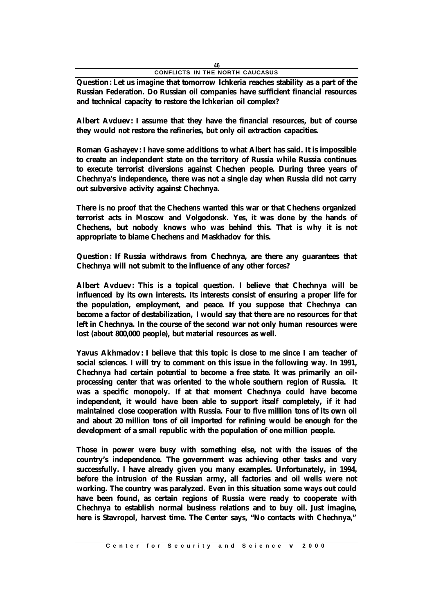**Question: Let us imagine that tomorrow Ichkeria reaches stability as a part of the Russian Federation. Do Russian oil companies have sufficient financial resources and technical capacity to restore the Ichkerian oil complex?**

**Albert Avduev: I assume that they have the financial resources, but of course they would not restore the refineries, but only oil extraction capacities.**

**Roman Gashayev: I have some additions to what Albert has said. It is impossible to create an independent state on the territory of Russia while Russia continues to execute terrorist diversions against Chechen people. During three years of Chechnya's independence, there was not a single day when Russia did not carry out subversive activity against Chechnya.**

**There is no proof that the Chechens wanted this war or that Chechens organized terrorist acts in Moscow and Volgodonsk. Yes, it was done by the hands of Chechens, but nobody knows who was behind this. That is why it is not appropriate to blame Chechens and Maskhadov for this.**

**Question: If Russia withdraws from Chechnya, are there any guarantees that Chechnya will not submit to the influence of any other forces?**

**Albert Avduev: This is a topical question. I believe that Chechnya will be influenced by its own interests. Its interests consist of ensuring a proper life for the population, employment, and peace. If you suppose that Chechnya can become a factor of destabilization, I would say that there are no resources for that left in Chechnya. In the course of the second war not only human resources were lost (about 800,000 people), but material resources as well.**

**Yavus Akhmadov: I believe that this topic is close to me since I am teacher of social sciences. I will try to comment on this issue in the following way. In 1991, Chechnya had certain potential to become a free state. It was primarily an oilprocessing center that was oriented to the whole southern region of Russia. It was a specific monopoly. If at that moment Chechnya could have become independent, it would have been able to support itself completely, if it had maintained close cooperation with Russia. Four to five million tons of its own oil and about 20 million tons of oil imported for refining would be enough for the development of a small republic with the population of one million people.**

**Those in power were busy with something else, not with the issues of the country's independence. The government was achieving other tasks and very successfully. I have already given you many examples. Unfortunately, in 1994, before the intrusion of the Russian army, all factories and oil wells were not working. The country was paralyzed. Even in this situation some ways out could have been found, as certain regions of Russia were ready to cooperate with Chechnya to establish normal business relations and to buy oil. Just imagine, here is Stavropol, harvest time. The Center says, "No contacts with Chechnya,"**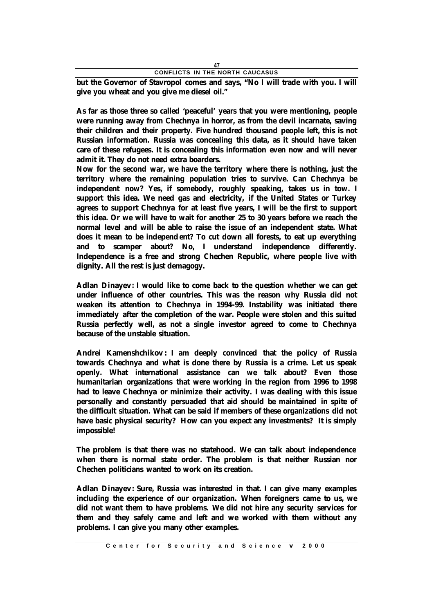**but the Governor of Stavropol comes and says, "No I will trade with you. I will give you wheat and you give me diesel oil."**

**As far as those three so called 'peaceful' years that you were mentioning, people were running away from Chechnya in horror, as from the devil incarnate, saving their children and their property. Five hundred thousand people left, this is not Russian information. Russia was concealing this data, as it should have taken care of these refugees. It is concealing this information even now and will never admit it. They do not need extra boarders.**

**Now for the second war, we have the territory where there is nothing, just the territory where the remaining population tries to survive. Can Chechnya be independent now? Yes, if somebody, roughly speaking, takes us in tow. I support this idea. We need gas and electricity, if the United States or Turkey agrees to support Chechnya for at least five years, I will be the first to support this idea. Or we will have to wait for another 25 to 30 years before we reach the normal level and will be able to raise the issue of an independent state. What does it mean to be independent? To cut down all forests, to eat up everything and to scamper about? No, I understand independence differently. Independence is a free and strong Chechen Republic, where people live with dignity. All the rest is just demagogy.**

**Adlan Dinayev: I would like to come back to the question whether we can get under influence of other countries. This was the reason why Russia did not weaken its attention to Chechnya in 1994-99. Instability was initiated there immediately after the completion of the war. People were stolen and this suited Russia perfectly well, as not a single investor agreed to come to Chechnya because of the unstable situation.**

**Andrei Kamenshchikov : I am deeply convinced that the policy of Russia towards Chechnya and what is done there by Russia is a crime. Let us speak openly. What international assistance can we talk about? Even those humanitarian organizations that were working in the region from 1996 to 1998 had to leave Chechnya or minimize their activity. I was dealing with this issue personally and constantly persuaded that aid should be maintained in spite of the difficult situation. What can be said if members of these organizations did not have basic physical security? How can you expect any investments? It is simply impossible!**

**The problem is that there was no statehood. We can talk about independence when there is normal state order. The problem is that neither Russian nor Chechen politicians wanted to work on its creation.**

**Adlan Dinayev: Sure, Russia was interested in that. I can give many examples including the experience of our organization. When foreigners came to us, we did not want them to have problems. We did not hire any security services for them and they safely came and left and we worked with them without any problems. I can give you many other examples.**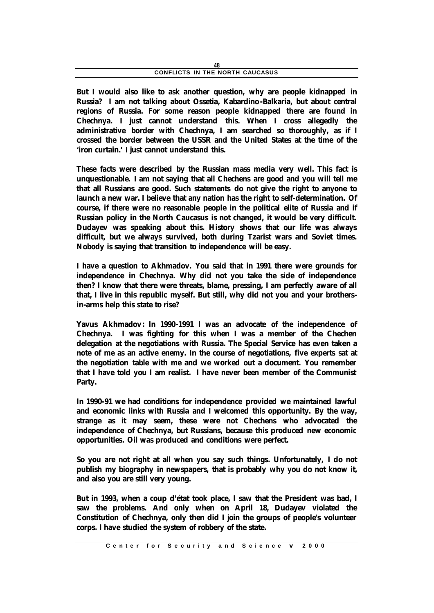**But I would also like to ask another question, why are people kidnapped in Russia? I am not talking about Ossetia, Kabardino-Balkaria, but about central regions of Russia. For some reason people kidnapped there are found in Chechnya. I just cannot understand this. When I cross allegedly the administrative border with Chechnya, I am searched so thoroughly, as if I crossed the border between the USSR and the United States at the time of the 'iron curtain.' I just cannot understand this.**

**These facts were described by the Russian mass media very well. This fact is unquestionable. I am not saying that all Chechens are good and you will tell me that all Russians are good. Such statements do not give the right to anyone to launch a new war. I believe that any nation has the right to self-determination. Of course, if there were no reasonable people in the political elite of Russia and if Russian policy in the North Caucasus is not changed, it would be very difficult. Dudayev was speaking about this. History shows that our life was always difficult, but we always survived, both during Tzarist wars and Soviet times. Nobody is saying that transition to independence will be easy.**

**I have a question to Akhmadov. You said that in 1991 there were grounds for independence in Chechnya. Why did not you take the side of independence then? I know that there were threats, blame, pressing, I am perfectly aware of all that, I live in this republic myself. But still, why did not you and your brothersin-arms help this state to rise?**

**Yavus Akhmadov: In 1990-1991 I was an advocate of the independence of Chechnya. I was fighting for this when I was a member of the Chechen delegation at the negotiations with Russia. The Special Service has even taken a note of me as an active enemy. In the course of negotiations, five experts sat at the negotiation table with me and we worked out a document. You remember that I have told you I am realist. I have never been member of the Communist Party.**

**In 1990-91 we had conditions for independence provided we maintained lawful and economic links with Russia and I welcomed this opportunity. By the way, strange as it may seem, these were not Chechens who advocated the independence of Chechnya, but Russians, because this produced new economic opportunities. Oil was produced and conditions were perfect.**

**So you are not right at all when you say such things. Unfortunately, I do not publish my biography in newspapers, that is probably why you do not know it, and also you are still very young.**

**But in 1993, when a coup d'état took place, I saw that the President was bad, I saw the problems. And only when on April 18, Dudayev violated the Constitution of Chechnya, only then did I join the groups of people's volunteer corps. I have studied the system of robbery of the state.**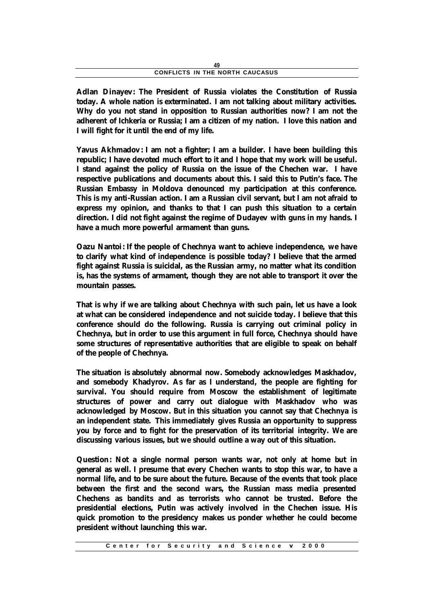**Adlan Dinayev: The President of Russia violates the Constitution of Russia today. A whole nation is exterminated. I am not talking about military activities. Why do you not stand in opposition to Russian authorities now? I am not the adherent of Ichkeria or Russia; I am a citizen of my nation. I love this nation and I will fight for it until the end of my life.**

**Yavus Akhmadov: I am not a fighter; I am a builder. I have been building this republic; I have devoted much effort to it and I hope that my work will be useful. I stand against the policy of Russia on the issue of the Chechen war. I have respective publications and documents about this. I said this to Putin's face. The Russian Embassy in Moldova denounced my participation at this conference. This is my anti-Russian action. I am a Russian civil servant, but I am not afraid to express my opinion, and thanks to that I can push this situation to a certain direction. I did not fight against the regime of Dudayev with guns in my hands. I have a much more powerful armament than guns.**

**Oazu Nantoi: If the people of Chechnya want to achieve independence, we have to clarify what kind of independence is possible today? I believe that the armed fight against Russia is suicidal, as the Russian army, no matter what its condition is, has the systems of armament, though they are not able to transport it over the mountain passes.**

**That is why if we are talking about Chechnya with such pain, let us have a look at what can be considered independence and not suicide today. I believe that this conference should do the following. Russia is carrying out criminal policy in Chechnya, but in order to use this argument in full force, Chechnya should have some structures of representative authorities that are eligible to speak on behalf of the people of Chechnya.**

**The situation is absolutely abnormal now. Somebody acknowledges Maskhadov, and somebody Khadyrov. As far as I understand, the people are fighting for survival. You should require from Moscow the establishment of legitimate structures of power and carry out dialogue with Maskhadov who was acknowledged by Moscow. But in this situation you cannot say that Chechnya is an independent state. This immediately gives Russia an opportunity to suppress you by force and to fight for the preservation of its territorial integrity. We are discussing various issues, but we should outline a way out of this situation.**

**Question: Not a single normal person wants war, not only at home but in general as well. I presume that every Chechen wants to stop this war, to have a normal life, and to be sure about the future. Because of the events that took place between the first and the second wars, the Russian mass media presented Chechens as bandits and as terrorists who cannot be trusted. Before the presidential elections, Putin was actively involved in the Chechen issue. His quick promotion to the presidency makes us ponder whether he could become president without launching this war.**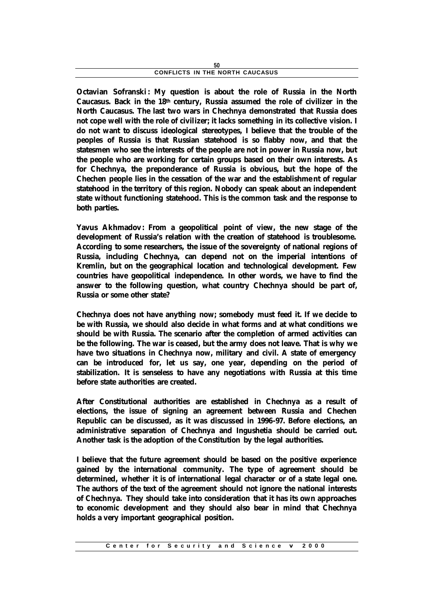| CONFLICTS IN THE NORTH CAUCASUS |
|---------------------------------|

**Octavian Sofranski: My question is about the role of Russia in the North Caucasus. Back in the 18th century, Russia assumed the role of civilizer in the North Caucasus. The last two wars in Chechnya demonstrated that Russia does not cope well with the role of civilizer; it lacks something in its collective vision. I do not want to discuss ideological stereotypes, I believe that the trouble of the peoples of Russia is that Russian statehood is so flabby now, and that the statesmen who see the interests of the people are not in power in Russia now, but the people who are working for certain groups based on their own interests. As for Chechnya, the preponderance of Russia is obvious, but the hope of the Chechen people lies in the cessation of the war and the establishme nt of regular statehood in the territory of this region. Nobody can speak about an independent state without functioning statehood. This is the common task and the response to both parties.**

**Yavus Akhmadov: From a geopolitical point of view, the new stage of the development of Russia's relation with the creation of statehood is troublesome. According to some researchers, the issue of the sovereignty of national regions of Russia, including Chechnya, can depend not on the imperial intentions of Kremlin, but on the geographical location and technological development. Few countries have geopolitical independence. In other words, we have to find the answer to the following question, what country Chechnya should be part of, Russia or some other state?**

**Chechnya does not have anything now; somebody must feed it. If we decide to be with Russia, we should also decide in what forms and at what conditions we should be with Russia. The scenario after the completion of armed activities can be the following. The war is ceased, but the army does not leave. That is why we have two situations in Chechnya now, military and civil. A state of emergency can be introduced for, let us say, one year, depending on the period of stabilization. It is senseless to have any negotiations with Russia at this time before state authorities are created.**

**After Constitutional authorities are established in Chechnya as a result of elections, the issue of signing an agreement between Russia and Chechen Republic can be discussed, as it was discussed in 1996-97. Before elections, an administrative separation of Chechnya and Ingushetia should be carried out. Another task is the adoption of the Constitution by the legal authorities.**

**I believe that the future agreement should be based on the positive experience gained by the international community. The type of agreement should be determined, whether it is of international legal character or of a state legal one. The authors of the text of the agreement should not ignore the national interests of Chechnya. They should take into consideration that it has its own approaches to economic development and they should also bear in mind that Chechnya holds a very important geographical position.**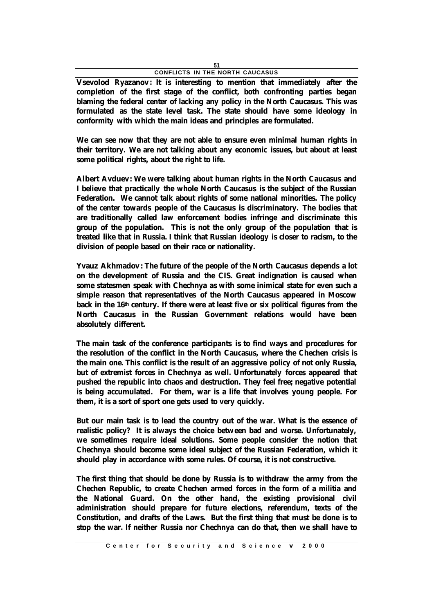**Vsevolod Ryazanov: It is interesting to mention that immediately after the completion of the first stage of the conflict, both confronting parties began blaming the federal center of lacking any policy in the North Caucasus. This was formulated as the state level task. The state should have some ideology in conformity with which the main ideas and principles are formulated.**

**We can see now that they are not able to ensure even minimal human rights in their territory. We are not talking about any economic issues, but about at least some political rights, about the right to life.**

**Albert Avduev: We were talking about human rights in the North Caucasus and I believe that practically the whole North Caucasus is the subject of the Russian Federation. We cannot talk about rights of some national minorities. The policy of the center towards people of the Caucasus is discriminatory. The bodies that are traditionally called law enforcement bodies infringe and discriminate this group of the population. This is not the only group of the population that is treated like that in Russia. I think that Russian ideology is closer to racism, to the division of people based on their race or nationality.**

**Yvauz Akhmadov: The future of the people of the North Caucasus depends a lot on the development of Russia and the CIS. Great indignation is caused when some statesmen speak with Chechnya as with some inimical state for even such a simple reason that representatives of the North Caucasus appeared in Moscow back in the 16th century. If there were at least five or six political figures from the North Caucasus in the Russian Government relations would have been absolutely different.**

**The main task of the conference participants is to find ways and procedures for the resolution of the conflict in the North Caucasus, where the Chechen crisis is the main one. This conflict is the result of an aggressive policy of not only Russia, but of extremist forces in Chechnya as well. Unfortunately forces appeared that pushed the republic into chaos and destruction. They feel free; negative potential is being accumulated. For them, war is a life that involves young people. For them, it is a sort of sport one gets used to very quickly.**

**But our main task is to lead the country out of the war. What is the essence of realistic policy? It is always the choice between bad and worse. Unfortunately, we sometimes require ideal solutions. Some people consider the notion that Chechnya should become some ideal subject of the Russian Federation, which it should play in accordance with some rules. Of course, it is not constructive.**

**The first thing that should be done by Russia is to withdraw the army from the Chechen Republic, to create Chechen armed forces in the form of a militia and the National Guard. On the other hand, the existing provisional civil administration should prepare for future elections, referendum, texts of the Constitution, and drafts of the Laws. But the first thing that must be done is to stop the war. If neither Russia nor Chechnya can do that, then we shall have to**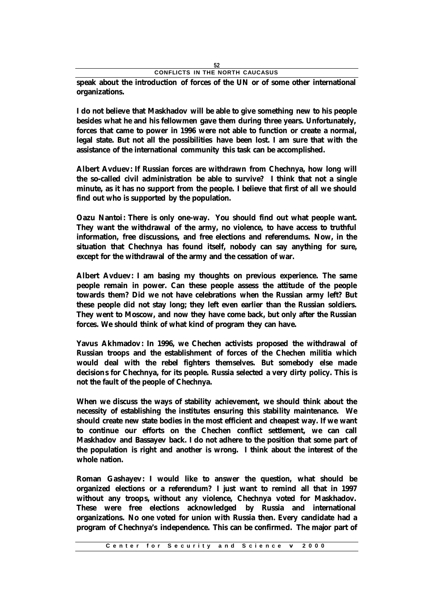**speak about the introduction of forces of the UN or of some other international organizations.**

**I do not believe that Maskhadov will be able to give something new to his people besides what he and his fellowmen gave them during three years. Unfortunately, forces that came to power in 1996 were not able to function or create a normal, legal state. But not all the possibilities have been lost. I am sure that with the assistance of the international community this task can be accomplished.**

**Albert Avduev: If Russian forces are withdrawn from Chechnya, how long will the so-called civil administration be able to survive? I think that not a single minute, as it has no support from the people. I believe that first of all we should find out who is supported by the population.**

**Oazu Nantoi: There is only one-way. You should find out what people want. They want the withdrawal of the army, no violence, to have access to truthful information, free discussions, and free elections and referendums. Now, in the situation that Chechnya has found itself, nobody can say anything for sure, except for the withdrawal of the army and the cessation of war.**

**Albert Avduev: I am basing my thoughts on previous experience. The same people remain in power. Can these people assess the attitude of the people towards them? Did we not have celebrations when the Russian army left? But these people did not stay long; they left even earlier than the Russian soldiers. They went to Moscow, and now they have come back, but only after the Russian forces. We should think of what kind of program they can have.**

**Yavus Akhmadov: In 1996, we Chechen activists proposed the withdrawal of Russian troops and the establishment of forces of the Chechen militia which would deal with the rebel fighters themselves. But somebody else made decisions for Chechnya, for its people. Russia selected a very dirty policy. This is not the fault of the people of Chechnya.**

**When we discuss the ways of stability achievement, we should think about the necessity of establishing the institutes ensuring this stability maintenance. We should create new state bodies in the most efficient and cheapest way. If we want to continue our efforts on the Chechen conflict settlement, we can call Maskhadov and Bassayev back. I do not adhere to the position that some part of the population is right and another is wrong. I think about the interest of the whole nation.**

**Roman Gashayev: I would like to answer the question, what should be organized elections or a referendum? I just want to remind all that in 1997 without any troops, without any violence, Chechnya voted for Maskhadov. These were free elections acknowledged by Russia and international organizations. No one voted for union with Russia then. Every candidate had a program of Chechnya's independence. This can be confirmed. The major part of**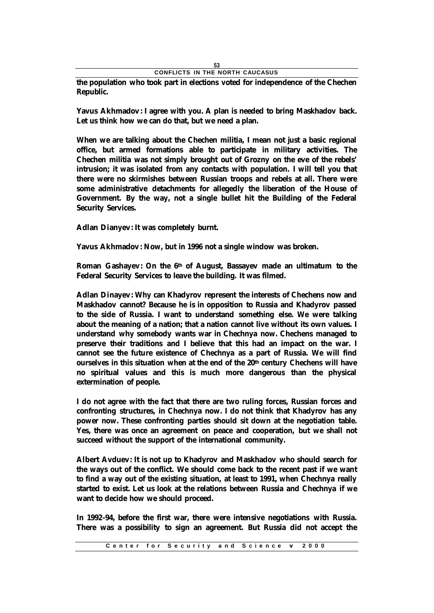|  |  |  |  | CONFLICTS IN THE NORTH CAUCASUS |  |
|--|--|--|--|---------------------------------|--|

**the population who took part in elections voted for independence of the Chechen Republic.**

**Yavus Akhmadov: I agree with you. A plan is needed to bring Maskhadov back. Let us think how we can do that, but we need a plan.**

**When we are talking about the Chechen militia, I mean not just a basic regional office, but armed formations able to participate in military activities. The Chechen militia was not simply brought out of Grozny on the eve of the rebels' intrusion; it was isolated from any contacts with population. I will tell you that there were no skirmishes between Russian troops and rebels at all. There were some administrative detachments for allegedly the liberation of the House of Government. By the way, not a single bullet hit the Building of the Federal Security Services.**

**Adlan Dianyev: It was completely burnt.**

**Yavus Akhmadov: Now, but in 1996 not a single window was broken.**

**Roman Gashayev: On the 6th of August, Bassayev made an ultimatum to the Federal Security Services to leave the building. It was filmed.**

**Adlan Dinayev: Why can Khadyrov represent the interests of Chechens now and Maskhadov cannot? Because he is in opposition to Russia and Khadyrov passed to the side of Russia. I want to understand something else. We were talking about the meaning of a nation; that a nation cannot live without its own values. I understand why somebody wants war in Chechnya now. Chechens managed to preserve their traditions and I believe that this had an impact on the war. I cannot see the future existence of Chechnya as a part of Russia. We will find ourselves in this situation when at the end of the 20th century Chechens will have no spiritual values and this is much more dangerous than the physical extermination of people.**

**I do not agree with the fact that there are two ruling forces, Russian forces and confronting structures, in Chechnya now. I do not think that Khadyrov has any power now. These confronting parties should sit down at the negotiation table. Yes, there was once an agreement on peace and cooperation, but we shall not succeed without the support of the international community.**

**Albert Avduev: It is not up to Khadyrov and Maskhadov who should search for the ways out of the conflict. We should come back to the recent past if we want to find a way out of the existing situation, at least to 1991, when Chechnya really started to exist. Let us look at the relations between Russia and Chechnya if we want to decide how we should proceed.**

**In 1992-94, before the first war, there were intensive negotiations with Russia. There was a possibility to sign an agreement. But Russia did not accept the**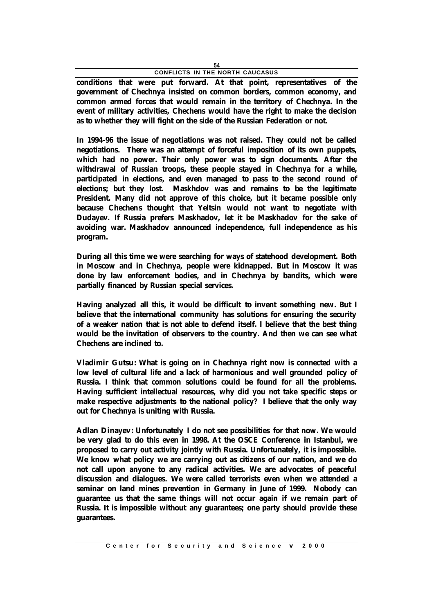**conditions that were put forward. At that point, representatives of the government of Chechnya insisted on common borders, common economy, and common armed forces that would remain in the territory of Chechnya. In the event of military activities, Chechens would have the right to make the decision as to whether they will fight on the side of the Russian Federation or not.**

**In 1994-96 the issue of negotiations was not raised. They could not be called negotiations. There was an attempt of forceful imposition of its own puppets, which had no power. Their only power was to sign documents. After the withdrawal of Russian troops, these people stayed in Chechnya for a while, participated in elections, and even managed to pass to the second round of elections; but they lost. Maskhdov was and remains to be the legitimate President. Many did not approve of this choice, but it became possible only because Chechens thought that Yeltsin would not want to negotiate with Dudayev. If Russia prefers Maskhadov, let it be Maskhadov for the sake of avoiding war. Maskhadov announced independence, full independence as his program.**

**During all this time we were searching for ways of statehood development. Both in Moscow and in Chechnya, people were kidnapped. But in Moscow it was done by law enforcement bodies, and in Chechnya by bandits, which were partially financed by Russian special services.**

**Having analyzed all this, it would be difficult to invent something new. But I believe that the international community has solutions for ensuring the security of a weaker nation that is not able to defend itself. I believe that the best thing would be the invitation of observers to the country. And then we can see what Chechens are inclined to.**

**Vladimir Gutsu: What is going on in Chechnya right now is connected with a low level of cultural life and a lack of harmonious and well grounded policy of Russia. I think that common solutions could be found for all the problems. Having sufficient intellectual resources, why did you not take specific steps or make respective adjustments to the national policy? I believe that the only way out for Chechnya is uniting with Russia.**

**Adlan Dinayev: Unfortunately I do not see possibilities for that now. We would be very glad to do this even in 1998. At the OSCE Conference in Istanbul, we proposed to carry out activity jointly with Russia. Unfortunately, it is impossible. We know what policy we are carrying out as citizens of our nation, and we do not call upon anyone to any radical activities. We are advocates of peaceful discussion and dialogues. We were called terrorists even when we attended a seminar on land mines prevention in Germany in June of 1999. Nobody can guarantee us that the same things will not occur again if we remain part of Russia. It is impossible without any guarantees; one party should provide these guarantees.**